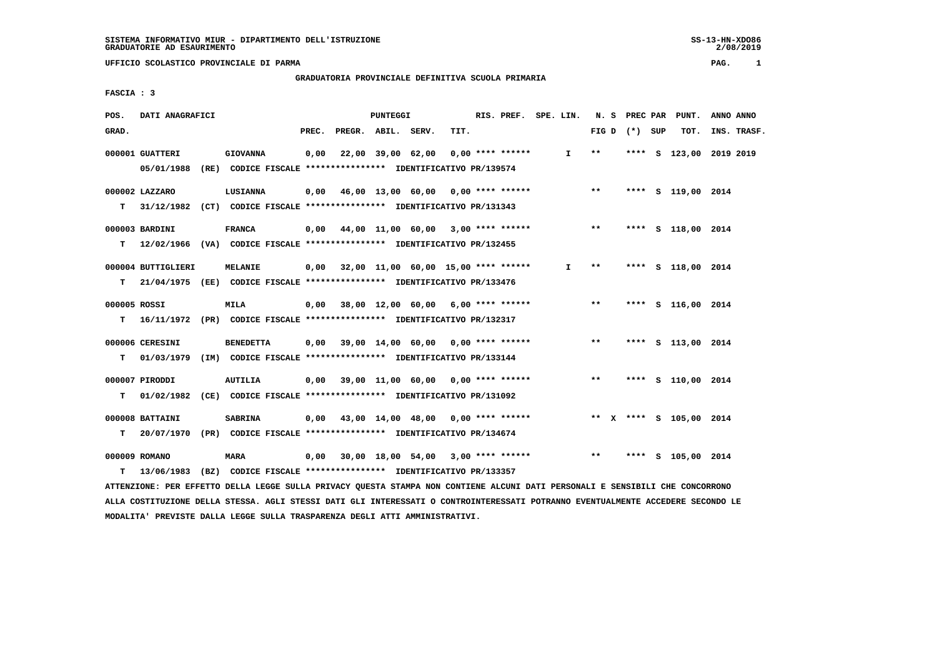# **GRADUATORIA PROVINCIALE DEFINITIVA SCUOLA PRIMARIA**

 **FASCIA : 3**

| POS.         | DATI ANAGRAFICI    |                                                                           |       |                    | <b>PUNTEGGI</b> |                                           | RIS. PREF. SPE. LIN. |    |       |                 | N. S PREC PAR PUNT.     | ANNO ANNO   |
|--------------|--------------------|---------------------------------------------------------------------------|-------|--------------------|-----------------|-------------------------------------------|----------------------|----|-------|-----------------|-------------------------|-------------|
| GRAD.        |                    |                                                                           | PREC. | PREGR. ABIL. SERV. |                 | TIT.                                      |                      |    |       | FIG D $(*)$ SUP | TOT.                    | INS. TRASF. |
|              | 000001 GUATTERI    | <b>GIOVANNA</b>                                                           | 0,00  |                    |                 | 22,00 39,00 62,00 0,00 **** ******        |                      | I. | $* *$ |                 | **** S 123,00 2019 2019 |             |
|              | 05/01/1988         | (RE) CODICE FISCALE **************** IDENTIFICATIVO PR/139574             |       |                    |                 |                                           |                      |    |       |                 |                         |             |
|              | 000002 LAZZARO     | <b>LUSIANNA</b>                                                           |       |                    |                 | $0,00$ 46,00 13,00 60,00 0,00 **** ****** |                      |    | $***$ |                 | **** S 119,00 2014      |             |
| T.           |                    | 31/12/1982 (CT) CODICE FISCALE **************** IDENTIFICATIVO PR/131343  |       |                    |                 |                                           |                      |    |       |                 |                         |             |
|              | 000003 BARDINI     | <b>FRANCA</b>                                                             |       |                    |                 | 0,00 44,00 11,00 60,00 3,00 **** ******   |                      |    | $* *$ |                 | **** S 118,00 2014      |             |
| т            |                    | 12/02/1966 (VA) CODICE FISCALE *************** IDENTIFICATIVO PR/132455   |       |                    |                 |                                           |                      |    |       |                 |                         |             |
|              | 000004 BUTTIGLIERI | <b>MELANIE</b>                                                            |       |                    |                 | 0,00 32,00 11,00 60,00 15,00 **** ******  |                      | I. | $* *$ |                 | **** S 118,00 2014      |             |
| T.           |                    | 21/04/1975 (EE) CODICE FISCALE **************** IDENTIFICATIVO PR/133476  |       |                    |                 |                                           |                      |    |       |                 |                         |             |
| 000005 ROSSI |                    | MILA                                                                      |       |                    |                 | 0,00 38,00 12,00 60,00 6,00 **** ******   |                      |    | $***$ |                 | **** S 116,00 2014      |             |
|              |                    | T 16/11/1972 (PR) CODICE FISCALE *************** IDENTIFICATIVO PR/132317 |       |                    |                 |                                           |                      |    |       |                 |                         |             |
|              | 000006 CERESINI    | <b>BENEDETTA</b>                                                          |       |                    |                 | $0,00$ 39,00 14,00 60,00 0,00 **** ****** |                      |    | $***$ |                 | **** S 113,00 2014      |             |
| T.           |                    | 01/03/1979 (IM) CODICE FISCALE **************** IDENTIFICATIVO PR/133144  |       |                    |                 |                                           |                      |    |       |                 |                         |             |
|              | 000007 PIRODDI     | <b>AUTILIA</b>                                                            |       |                    |                 | $0,00$ 39,00 11,00 60,00 0,00 **** ****** |                      |    | $***$ |                 | **** S 110,00 2014      |             |
| т            |                    | 01/02/1982 (CE) CODICE FISCALE **************** IDENTIFICATIVO PR/131092  |       |                    |                 |                                           |                      |    |       |                 |                         |             |
|              | 000008 BATTAINI    | <b>SABRINA</b>                                                            |       |                    |                 | $0,00$ 43,00 14,00 48,00 0,00 **** ****** |                      |    |       |                 | ** X **** S 105,00 2014 |             |
| т            | 20/07/1970         | (PR) CODICE FISCALE **************** IDENTIFICATIVO PR/134674             |       |                    |                 |                                           |                      |    |       |                 |                         |             |
|              | 000009 ROMANO      | <b>MARA</b>                                                               |       |                    |                 | $0,00$ 30,00 18,00 54,00 3,00 **** ****** |                      |    | $***$ |                 | **** S 105,00 2014      |             |
| т            |                    | 13/06/1983 (BZ) CODICE FISCALE **************** IDENTIFICATIVO PR/133357  |       |                    |                 |                                           |                      |    |       |                 |                         |             |

 **ATTENZIONE: PER EFFETTO DELLA LEGGE SULLA PRIVACY QUESTA STAMPA NON CONTIENE ALCUNI DATI PERSONALI E SENSIBILI CHE CONCORRONO ALLA COSTITUZIONE DELLA STESSA. AGLI STESSI DATI GLI INTERESSATI O CONTROINTERESSATI POTRANNO EVENTUALMENTE ACCEDERE SECONDO LE MODALITA' PREVISTE DALLA LEGGE SULLA TRASPARENZA DEGLI ATTI AMMINISTRATIVI.**

2/08/2019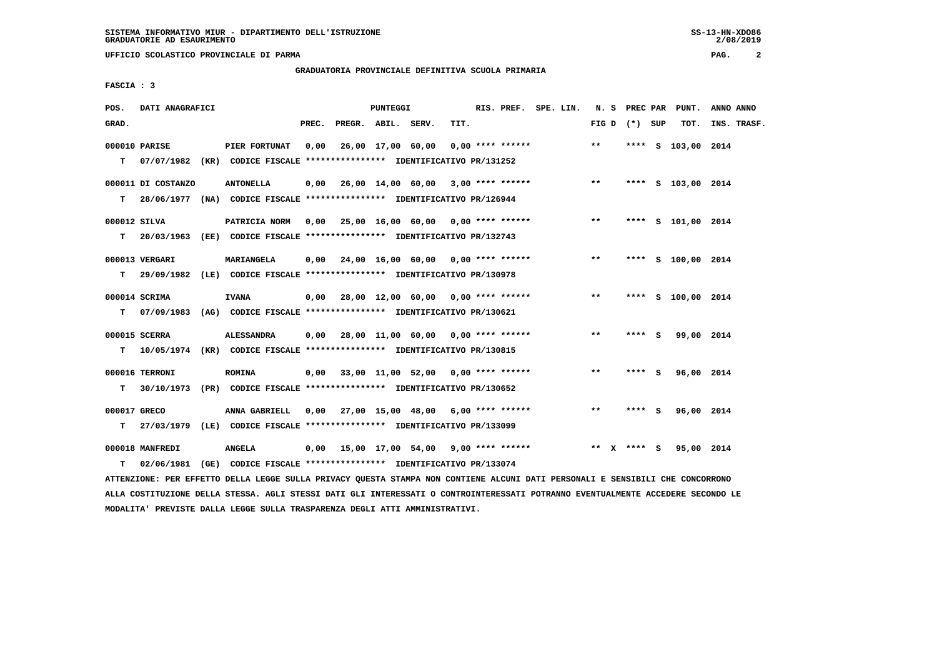# **GRADUATORIA PROVINCIALE DEFINITIVA SCUOLA PRIMARIA**

 **FASCIA : 3**

| POS.         | DATI ANAGRAFICI    |                                                                                            |       |                    | PUNTEGGI |                                                         |      | RIS. PREF. SPE. LIN. |  |       |              | N. S PREC PAR   | PUNT.              | ANNO ANNO   |
|--------------|--------------------|--------------------------------------------------------------------------------------------|-------|--------------------|----------|---------------------------------------------------------|------|----------------------|--|-------|--------------|-----------------|--------------------|-------------|
| GRAD.        |                    |                                                                                            | PREC. | PREGR. ABIL. SERV. |          |                                                         | TIT. |                      |  |       |              | FIG D $(*)$ SUP | TOT.               | INS. TRASF. |
|              | 000010 PARISE      | PIER FORTUNAT<br>T 07/07/1982 (KR) CODICE FISCALE *************** IDENTIFICATIVO PR/131252 | 0.00  |                    |          | 26,00 17,00 60,00                                       |      | $0.00$ **** ******   |  | $***$ |              |                 | **** S 103,00 2014 |             |
|              |                    |                                                                                            |       |                    |          |                                                         |      |                      |  |       |              |                 |                    |             |
|              | 000011 DI COSTANZO | <b>ANTONELLA</b>                                                                           |       |                    |          | $0,00$ 26,00 14,00 60,00 3,00 **** ******               |      |                      |  | $***$ |              |                 | **** S 103,00 2014 |             |
| T.           |                    | 28/06/1977 (NA) CODICE FISCALE *************** IDENTIFICATIVO PR/126944                    |       |                    |          |                                                         |      |                      |  |       |              |                 |                    |             |
| 000012 SILVA |                    | PATRICIA NORM 0,00 25,00 16,00 60,00 0,00 **** ******                                      |       |                    |          |                                                         |      |                      |  | **    |              |                 | **** S 101,00 2014 |             |
| T.           |                    | 20/03/1963 (EE) CODICE FISCALE **************** IDENTIFICATIVO PR/132743                   |       |                    |          |                                                         |      |                      |  |       |              |                 |                    |             |
|              | 000013 VERGARI     | <b>MARIANGELA</b>                                                                          |       |                    |          | $0.00$ $24.00$ $16.00$ $60.00$ $0.00$ $***$ **** ****** |      |                      |  | $***$ |              |                 | **** S 100,00 2014 |             |
| T.           |                    | 29/09/1982 (LE) CODICE FISCALE *************** IDENTIFICATIVO PR/130978                    |       |                    |          |                                                         |      |                      |  |       |              |                 |                    |             |
|              |                    |                                                                                            |       |                    |          |                                                         |      |                      |  |       |              |                 |                    |             |
|              | 000014 SCRIMA      | <b>IVANA</b>                                                                               |       |                    |          | 0,00 28,00 12,00 60,00 0,00 **** ******                 |      |                      |  | $***$ |              |                 | **** S 100,00 2014 |             |
| T.           |                    | 07/09/1983 (AG) CODICE FISCALE **************** IDENTIFICATIVO PR/130621                   |       |                    |          |                                                         |      |                      |  |       |              |                 |                    |             |
|              | 000015 SCERRA      | <b>ALESSANDRA</b>                                                                          |       |                    |          | $0,00$ 28,00 11,00 60,00 0,00 **** ******               |      |                      |  | $***$ |              | **** S          | 99,00 2014         |             |
| T.           |                    | 10/05/1974 (KR) CODICE FISCALE **************** IDENTIFICATIVO PR/130815                   |       |                    |          |                                                         |      |                      |  |       |              |                 |                    |             |
|              | 000016 TERRONI     | <b>ROMINA</b>                                                                              |       |                    |          | $0,00$ 33,00 11,00 52,00 0,00 **** ******               |      |                      |  | $***$ |              | **** S          | 96,00 2014         |             |
| T.           |                    | 30/10/1973 (PR) CODICE FISCALE *************** IDENTIFICATIVO PR/130652                    |       |                    |          |                                                         |      |                      |  |       |              |                 |                    |             |
|              |                    |                                                                                            |       |                    |          |                                                         |      |                      |  |       |              |                 |                    |             |
| 000017 GRECO |                    | ANNA GABRIELL 0,00 27,00 15,00 48,00 6,00 **** ******                                      |       |                    |          |                                                         |      |                      |  | $***$ |              | **** S          | 96,00 2014         |             |
|              |                    | T 27/03/1979 (LE) CODICE FISCALE *************** IDENTIFICATIVO PR/133099                  |       |                    |          |                                                         |      |                      |  |       |              |                 |                    |             |
|              | 000018 MANFREDI    | ANGELA                                                                                     |       |                    |          | 0,00 15,00 17,00 54,00 9,00 **** ******                 |      |                      |  | $* *$ | $\mathbf{x}$ | **** S          | 95,00 2014         |             |
| т            | 02/06/1981         | (GE) CODICE FISCALE **************** IDENTIFICATIVO PR/133074                              |       |                    |          |                                                         |      |                      |  |       |              |                 |                    |             |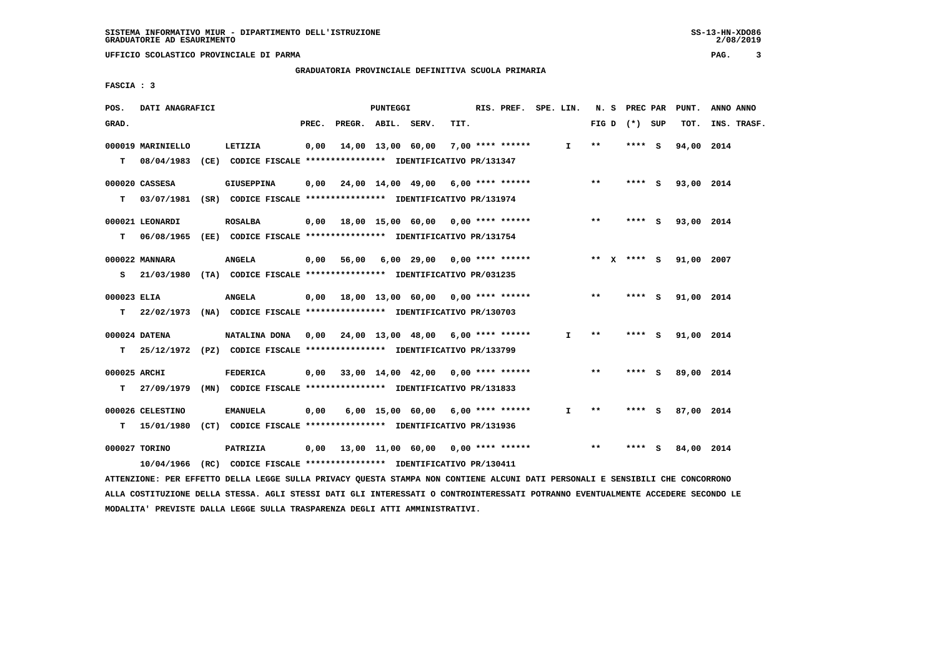#### **GRADUATORIA PROVINCIALE DEFINITIVA SCUOLA PRIMARIA**

 **FASCIA : 3**

| POS.         | DATI ANAGRAFICI                                                          |                   |       |                    | PUNTEGGI |                                                       |      | RIS. PREF. SPE. LIN. |              | N. S PREC PAR   |         |     | PUNT.      | ANNO ANNO   |
|--------------|--------------------------------------------------------------------------|-------------------|-------|--------------------|----------|-------------------------------------------------------|------|----------------------|--------------|-----------------|---------|-----|------------|-------------|
| GRAD.        |                                                                          |                   | PREC. | PREGR. ABIL. SERV. |          |                                                       | TIT. |                      |              | FIG D $(*)$ SUP |         |     | TOT.       | INS. TRASF. |
|              | 000019 MARINIELLO                                                        | LETIZIA           | 0,00  |                    |          | 14,00 13,00 60,00                                     |      | 7,00 **** ******     | $\mathbf{I}$ | $* *$           | ****    | - 5 | 94,00 2014 |             |
| т            | 08/04/1983 (CE) CODICE FISCALE **************** IDENTIFICATIVO PR/131347 |                   |       |                    |          |                                                       |      |                      |              |                 |         |     |            |             |
|              | 000020 CASSESA                                                           | <b>GIUSEPPINA</b> | 0.00  |                    |          | 24,00 14,00 49,00 6,00 **** ******                    |      |                      |              | $* *$           | **** S  |     | 93,00 2014 |             |
| т            | 03/07/1981 (SR) CODICE FISCALE *************** IDENTIFICATIVO PR/131974  |                   |       |                    |          |                                                       |      |                      |              |                 |         |     |            |             |
|              | 000021 LEONARDI                                                          | <b>ROSALBA</b>    |       |                    |          | 0,00 18,00 15,00 60,00 0,00 **** ******               |      |                      |              | $* *$           | $***$ S |     | 93,00 2014 |             |
| т            | 06/08/1965 (EE) CODICE FISCALE *************** IDENTIFICATIVO PR/131754  |                   |       |                    |          |                                                       |      |                      |              |                 |         |     |            |             |
|              | 000022 MANNARA                                                           | <b>ANGELA</b>     |       | $0,00$ 56,00       |          | 6,00 29,00 0,00 **** ******                           |      |                      |              | ** $X$ **** S   |         |     | 91,00 2007 |             |
| s            | 21/03/1980 (TA) CODICE FISCALE **************** IDENTIFICATIVO PR/031235 |                   |       |                    |          |                                                       |      |                      |              |                 |         |     |            |             |
| 000023 ELIA  |                                                                          | <b>ANGELA</b>     |       |                    |          | $0.00$ 18.00 13.00 60.00 0.00 **** ******             |      |                      |              | $***$           | **** S  |     | 91,00 2014 |             |
| т            | 22/02/1973 (NA) CODICE FISCALE **************** IDENTIFICATIVO PR/130703 |                   |       |                    |          |                                                       |      |                      |              |                 |         |     |            |             |
|              | 000024 DATENA                                                            |                   |       |                    |          | NATALINA DONA 0,00 24,00 13,00 48,00 6,00 **** ****** |      |                      | I.           | $* *$           | **** S  |     | 91,00 2014 |             |
| т            | 25/12/1972 (PZ) CODICE FISCALE *************** IDENTIFICATIVO PR/133799  |                   |       |                    |          |                                                       |      |                      |              |                 |         |     |            |             |
| 000025 ARCHI |                                                                          | <b>FEDERICA</b>   |       |                    |          | $0,00$ 33,00 14,00 42,00 0,00 **** ******             |      |                      |              | $**$            | ****    | - S | 89,00 2014 |             |
| т            | 27/09/1979 (MN) CODICE FISCALE *************** IDENTIFICATIVO PR/131833  |                   |       |                    |          |                                                       |      |                      |              |                 |         |     |            |             |
|              | 000026 CELESTINO                                                         | <b>EMANUELA</b>   | 0,00  |                    |          | 6,00 15,00 60,00 6,00 **** ******                     |      |                      | I.           | $* *$           | **** S  |     | 87,00 2014 |             |
| т            | 15/01/1980 (CT) CODICE FISCALE *************** IDENTIFICATIVO PR/131936  |                   |       |                    |          |                                                       |      |                      |              |                 |         |     |            |             |
|              | 000027 TORINO                                                            | PATRIZIA          |       |                    |          | 0,00 13,00 11,00 60,00 0,00 **** ******               |      |                      |              | $***$           | $***$ S |     | 84,00 2014 |             |
|              | 10/04/1966 (RC) CODICE FISCALE *************** IDENTIFICATIVO PR/130411  |                   |       |                    |          |                                                       |      |                      |              |                 |         |     |            |             |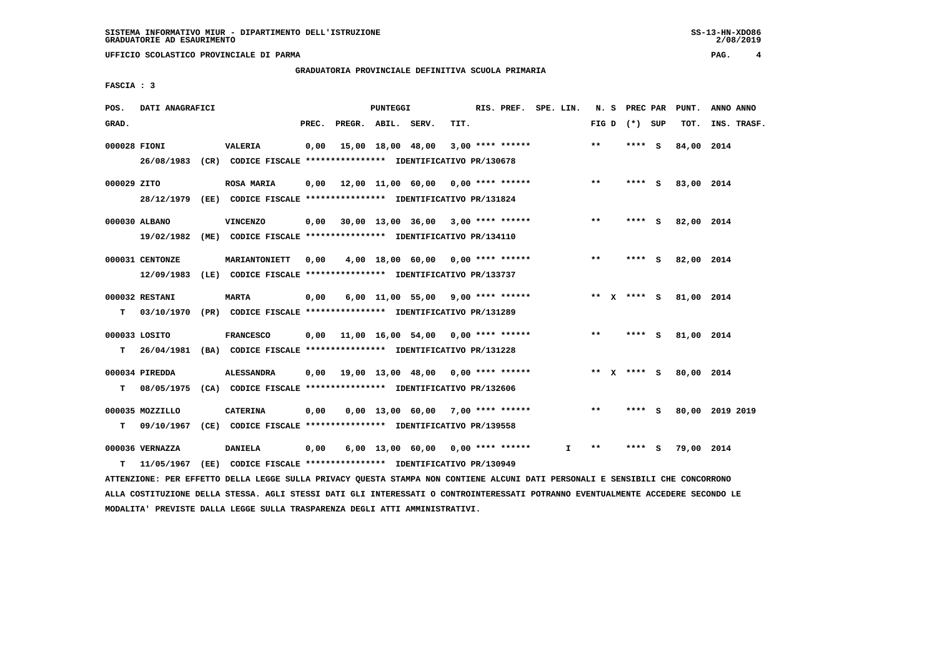#### **GRADUATORIA PROVINCIALE DEFINITIVA SCUOLA PRIMARIA**

 **FASCIA : 3**

| POS.         | DATI ANAGRAFICI |                                                                          |       |                    | PUNTEGGI |                                           |      | RIS. PREF. SPE. LIN. |    |       | N. S PREC PAR   |     | PUNT.      | ANNO ANNO       |
|--------------|-----------------|--------------------------------------------------------------------------|-------|--------------------|----------|-------------------------------------------|------|----------------------|----|-------|-----------------|-----|------------|-----------------|
| GRAD.        |                 |                                                                          | PREC. | PREGR. ABIL. SERV. |          |                                           | TIT. |                      |    |       | FIG D $(*)$ SUP |     | TOT.       | INS. TRASF.     |
| 000028 FIONI |                 | <b>VALERIA</b>                                                           | 0,00  |                    |          | 15,00 18,00 48,00                         |      | $3.00*********$      |    | $* *$ | **** S          |     | 84,00 2014 |                 |
|              |                 | 26/08/1983 (CR) CODICE FISCALE *************** IDENTIFICATIVO PR/130678  |       |                    |          |                                           |      |                      |    |       |                 |     |            |                 |
| 000029 ZITO  |                 | <b>ROSA MARIA</b>                                                        | 0.00  |                    |          | 12,00 11,00 60,00 0,00 **** ******        |      |                      |    | $* *$ | **** S          |     | 83,00 2014 |                 |
|              |                 | 28/12/1979 (EE) CODICE FISCALE *************** IDENTIFICATIVO PR/131824  |       |                    |          |                                           |      |                      |    |       |                 |     |            |                 |
|              | 000030 ALBANO   | <b>VINCENZO</b>                                                          | 0,00  |                    |          | $30,00$ 13,00 36,00 3,00 **** ******      |      |                      |    | $**$  | **** S          |     | 82,00 2014 |                 |
|              |                 | 19/02/1982 (ME) CODICE FISCALE *************** IDENTIFICATIVO PR/134110  |       |                    |          |                                           |      |                      |    |       |                 |     |            |                 |
|              | 000031 CENTONZE | MARIANTONIETT                                                            | 0,00  |                    |          | 4,00 18,00 60,00 0,00 **** ******         |      |                      |    | $***$ | **** S          |     | 82,00 2014 |                 |
|              |                 | 12/09/1983 (LE) CODICE FISCALE *************** IDENTIFICATIVO PR/133737  |       |                    |          |                                           |      |                      |    |       |                 |     |            |                 |
|              | 000032 RESTANI  | <b>MARTA</b>                                                             | 0,00  |                    |          | $6,00$ 11,00 55,00 9,00 **** ******       |      |                      |    |       | ** x **** S     |     | 81,00 2014 |                 |
| т            |                 | 03/10/1970 (PR) CODICE FISCALE **************** IDENTIFICATIVO PR/131289 |       |                    |          |                                           |      |                      |    |       |                 |     |            |                 |
|              | 000033 LOSITO   | <b>FRANCESCO</b>                                                         |       |                    |          | $0.00$ 11.00 16.00 54.00 0.00 **** ****** |      |                      |    | $***$ | **** S          |     | 81,00 2014 |                 |
| T.           |                 | 26/04/1981 (BA) CODICE FISCALE **************** IDENTIFICATIVO PR/131228 |       |                    |          |                                           |      |                      |    |       |                 |     |            |                 |
|              | 000034 PIREDDA  | <b>ALESSANDRA</b>                                                        |       |                    |          | 0,00 19,00 13,00 48,00 0,00 **** ******   |      |                      |    | ** X  | **** S          |     | 80,00 2014 |                 |
| т            |                 | 08/05/1975 (CA) CODICE FISCALE **************** IDENTIFICATIVO PR/132606 |       |                    |          |                                           |      |                      |    |       |                 |     |            |                 |
|              | 000035 MOZZILLO | <b>CATERINA</b>                                                          | 0,00  |                    |          | $0,00$ 13,00 60,00 7,00 **** ******       |      |                      |    | $***$ | **** S          |     |            | 80,00 2019 2019 |
| т            | 09/10/1967      | (CE) CODICE FISCALE **************** IDENTIFICATIVO PR/139558            |       |                    |          |                                           |      |                      |    |       |                 |     |            |                 |
|              | 000036 VERNAZZA | <b>DANIELA</b>                                                           | 0,00  |                    |          | 6,00 13,00 60,00 0,00 **** ******         |      |                      | I. | $***$ | ****            | - S | 79,00 2014 |                 |
| т            | 11/05/1967      | (EE) CODICE FISCALE **************** IDENTIFICATIVO PR/130949            |       |                    |          |                                           |      |                      |    |       |                 |     |            |                 |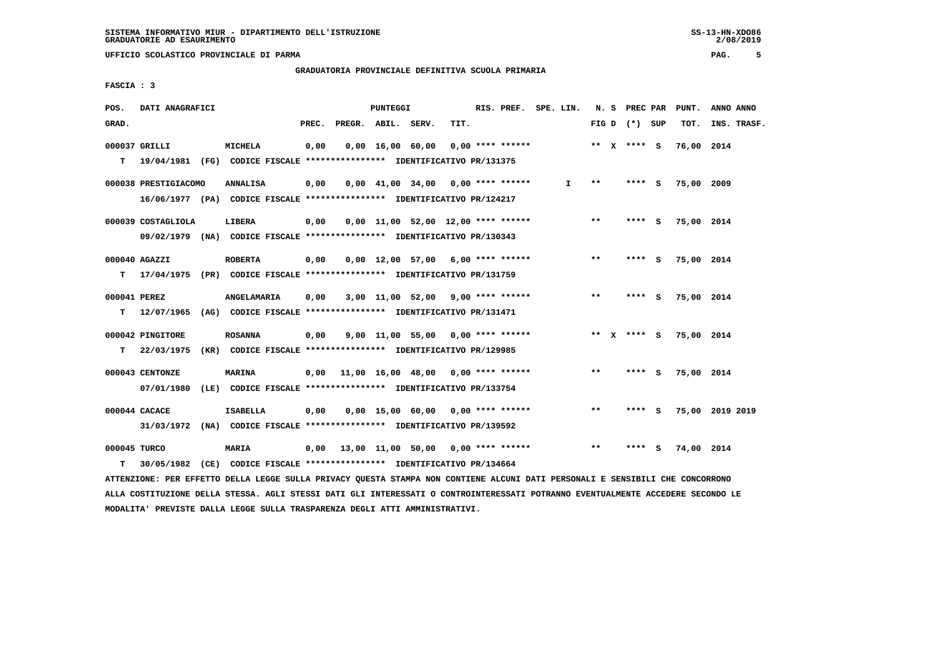# **GRADUATORIA PROVINCIALE DEFINITIVA SCUOLA PRIMARIA**

 **FASCIA : 3**

| POS.         | DATI ANAGRAFICI                                                          |                                                               |       | PUNTEGGI |                                           |      | RIS. PREF. SPE. LIN. |              |       | N. S PREC PAR   |     | PUNT.      | ANNO ANNO       |
|--------------|--------------------------------------------------------------------------|---------------------------------------------------------------|-------|----------|-------------------------------------------|------|----------------------|--------------|-------|-----------------|-----|------------|-----------------|
| GRAD.        |                                                                          |                                                               | PREC. |          | PREGR. ABIL. SERV.                        | TIT. |                      |              |       | FIG D $(*)$ SUP |     | TOT.       | INS. TRASF.     |
|              | 000037 GRILLI                                                            | <b>MICHELA</b>                                                | 0,00  |          | $0,00 \quad 16,00 \quad 60,00$            |      | $0.00$ **** ******   |              |       | ** $X$ **** S   |     | 76,00 2014 |                 |
| т            | 19/04/1981 (FG) CODICE FISCALE *************** IDENTIFICATIVO PR/131375  |                                                               |       |          |                                           |      |                      |              |       |                 |     |            |                 |
|              | 000038 PRESTIGIACOMO                                                     | <b>ANNALISA</b>                                               | 0,00  |          | $0,00$ 41,00 34,00 0,00 **** ******       |      |                      | $\mathbf{I}$ | $* *$ | **** S          |     | 75,00 2009 |                 |
|              | 16/06/1977 (PA) CODICE FISCALE *************** IDENTIFICATIVO PR/124217  |                                                               |       |          |                                           |      |                      |              |       |                 |     |            |                 |
|              | 000039 COSTAGLIOLA                                                       | LIBERA                                                        | 0,00  |          | $0.00$ 11.00 52.00 12.00 **** ******      |      |                      |              | $***$ | **** S          |     | 75,00 2014 |                 |
|              | 09/02/1979 (NA) CODICE FISCALE *************** IDENTIFICATIVO PR/130343  |                                                               |       |          |                                           |      |                      |              |       |                 |     |            |                 |
|              | 000040 AGAZZI                                                            | <b>ROBERTA</b>                                                | 0,00  |          | $0,00$ 12,00 57,00 6,00 **** ******       |      |                      |              | $* *$ | **** S          |     | 75,00 2014 |                 |
| т            | 17/04/1975 (PR) CODICE FISCALE **************** IDENTIFICATIVO PR/131759 |                                                               |       |          |                                           |      |                      |              |       |                 |     |            |                 |
| 000041 PEREZ |                                                                          | ANGELAMARIA                                                   | 0,00  |          | 3,00 11,00 52,00 9,00 **** ******         |      |                      |              | $**$  | **** S          |     | 75,00 2014 |                 |
| т            | 12/07/1965 (AG) CODICE FISCALE **************** IDENTIFICATIVO PR/131471 |                                                               |       |          |                                           |      |                      |              |       |                 |     |            |                 |
|              | 000042 PINGITORE                                                         | <b>ROSANNA</b>                                                | 0,00  |          | $9,00$ 11,00 55,00 0,00 **** ******       |      |                      |              |       | ** $X$ **** S   |     | 75,00 2014 |                 |
| T.           | 22/03/1975                                                               | (KR) CODICE FISCALE **************** IDENTIFICATIVO PR/129985 |       |          |                                           |      |                      |              |       |                 |     |            |                 |
|              | 000043 CENTONZE                                                          | <b>MARINA</b>                                                 | 0,00  |          | 11,00 16,00 48,00 0,00 **** ******        |      |                      |              | $**$  | $***$ S         |     | 75,00 2014 |                 |
|              | 07/01/1980                                                               | (LE) CODICE FISCALE **************** IDENTIFICATIVO PR/133754 |       |          |                                           |      |                      |              |       |                 |     |            |                 |
|              | 000044 CACACE                                                            | <b>ISABELLA</b>                                               | 0,00  |          | $0.00$ 15.00 60.00 0.00 **** ******       |      |                      |              | $***$ | **** S          |     |            | 75,00 2019 2019 |
|              | 31/03/1972 (NA) CODICE FISCALE *************** IDENTIFICATIVO PR/139592  |                                                               |       |          |                                           |      |                      |              |       |                 |     |            |                 |
| 000045 TURCO |                                                                          | <b>MARIA</b>                                                  |       |          | $0,00$ 13,00 11,00 50,00 0,00 **** ****** |      |                      |              | $* *$ | ****            | - 5 | 74,00 2014 |                 |
| т            | 30/05/1982                                                               | (CE) CODICE FISCALE **************** IDENTIFICATIVO PR/134664 |       |          |                                           |      |                      |              |       |                 |     |            |                 |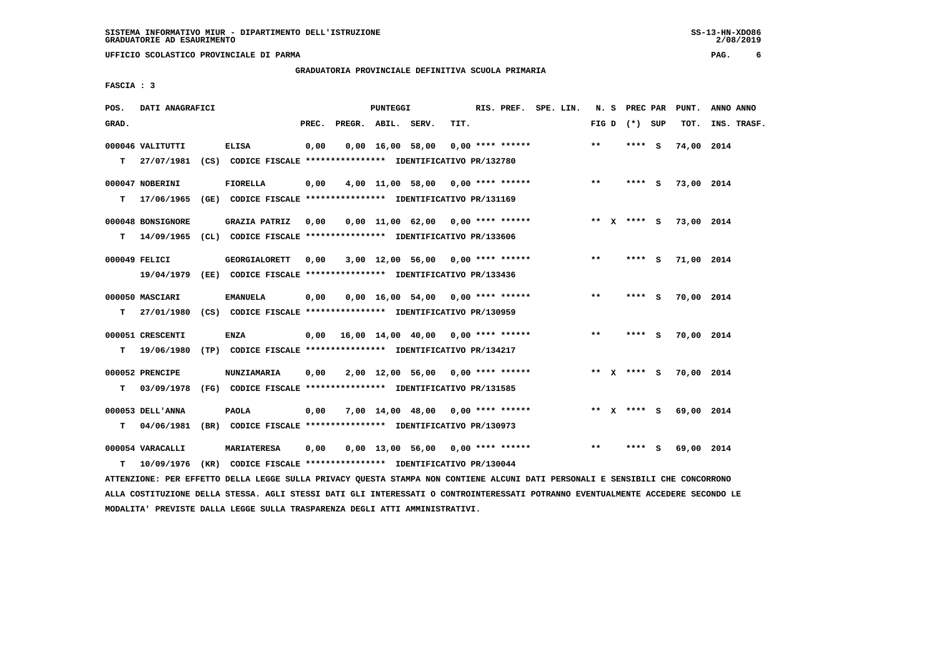$2/08/2019$ 

 **GRADUATORIA PROVINCIALE DEFINITIVA SCUOLA PRIMARIA**

 **FASCIA : 3**

| POS.  | DATI ANAGRAFICI   |                                                                          |       |                    | PUNTEGGI                       |                  |                                           | RIS. PREF. SPE. LIN. |              | N. S PREC PAR   | PUNT.      | ANNO ANNO   |
|-------|-------------------|--------------------------------------------------------------------------|-------|--------------------|--------------------------------|------------------|-------------------------------------------|----------------------|--------------|-----------------|------------|-------------|
| GRAD. |                   |                                                                          | PREC. | PREGR. ABIL. SERV. |                                |                  | TIT.                                      |                      |              | FIG D $(*)$ SUP | TOT.       | INS. TRASF. |
|       | 000046 VALITUTTI  | <b>ELISA</b>                                                             | 0,00  |                    | $0,00 \quad 16,00 \quad 58,00$ |                  | $0.00$ **** ******                        |                      | **           | $***$ S         | 74,00 2014 |             |
| т     |                   | 27/07/1981 (CS) CODICE FISCALE *************** IDENTIFICATIVO PR/132780  |       |                    |                                |                  |                                           |                      |              |                 |            |             |
|       | 000047 NOBERINI   | <b>FIORELLA</b>                                                          | 0,00  |                    |                                |                  | $4,00$ 11,00 58,00 0,00 **** ******       |                      | $* *$        | **** S          | 73,00 2014 |             |
| т     |                   | 17/06/1965 (GE) CODICE FISCALE *************** IDENTIFICATIVO PR/131169  |       |                    |                                |                  |                                           |                      |              |                 |            |             |
|       | 000048 BONSIGNORE | <b>GRAZIA PATRIZ</b>                                                     | 0,00  |                    |                                |                  | $0,00$ 11,00 62,00 0,00 **** ******       |                      |              | ** $X$ **** S   | 73,00 2014 |             |
| т     |                   | 14/09/1965 (CL) CODICE FISCALE **************** IDENTIFICATIVO PR/133606 |       |                    |                                |                  |                                           |                      |              |                 |            |             |
|       | 000049 FELICI     | <b>GEORGIALORETT</b>                                                     | 0,00  |                    |                                |                  | 3,00 12,00 56,00 0,00 **** ******         |                      | $***$        | $***$ S         | 71,00 2014 |             |
|       |                   | 19/04/1979 (EE) CODICE FISCALE *************** IDENTIFICATIVO PR/133436  |       |                    |                                |                  |                                           |                      |              |                 |            |             |
|       | 000050 MASCIARI   | <b>EMANUELA</b>                                                          | 0,00  |                    |                                |                  | $0.00$ 16.00 54.00 0.00 **** ******       |                      | $***$        | **** S          | 70,00 2014 |             |
| т     | 27/01/1980        | (CS) CODICE FISCALE **************** IDENTIFICATIVO PR/130959            |       |                    |                                |                  |                                           |                      |              |                 |            |             |
|       | 000051 CRESCENTI  | <b>ENZA</b>                                                              |       |                    |                                |                  | $0,00$ 16,00 14,00 40,00 0,00 **** ****** |                      | $***$        | **** S          | 70,00 2014 |             |
| т     | 19/06/1980        | (TP) CODICE FISCALE **************** IDENTIFICATIVO PR/134217            |       |                    |                                |                  |                                           |                      |              |                 |            |             |
|       | 000052 PRENCIPE   | <b>NUNZIAMARIA</b>                                                       | 0,00  |                    |                                |                  | $2,00$ 12,00 56,00 0,00 **** ******       |                      |              | ** $X$ **** S   | 70,00 2014 |             |
| т     | 03/09/1978        | (FG) CODICE FISCALE **************** IDENTIFICATIVO PR/131585            |       |                    |                                |                  |                                           |                      |              |                 |            |             |
|       | 000053 DELL'ANNA  | <b>PAOLA</b>                                                             | 0,00  |                    |                                |                  | 7,00 14,00 48,00 0,00 **** ******         |                      |              | ** x **** s     | 69,00 2014 |             |
| т     |                   | 04/06/1981 (BR) CODICE FISCALE *************** IDENTIFICATIVO PR/130973  |       |                    |                                |                  |                                           |                      |              |                 |            |             |
|       | 000054 VARACALLI  | <b>MARIATERESA</b>                                                       | 0,00  |                    |                                | 0,00 13,00 56,00 | $0.00$ **** ******                        |                      | $\star\star$ | **** S          | 69,00 2014 |             |
| т     |                   | 10/09/1976 (KR) CODICE FISCALE *************** IDENTIFICATIVO PR/130044  |       |                    |                                |                  |                                           |                      |              |                 |            |             |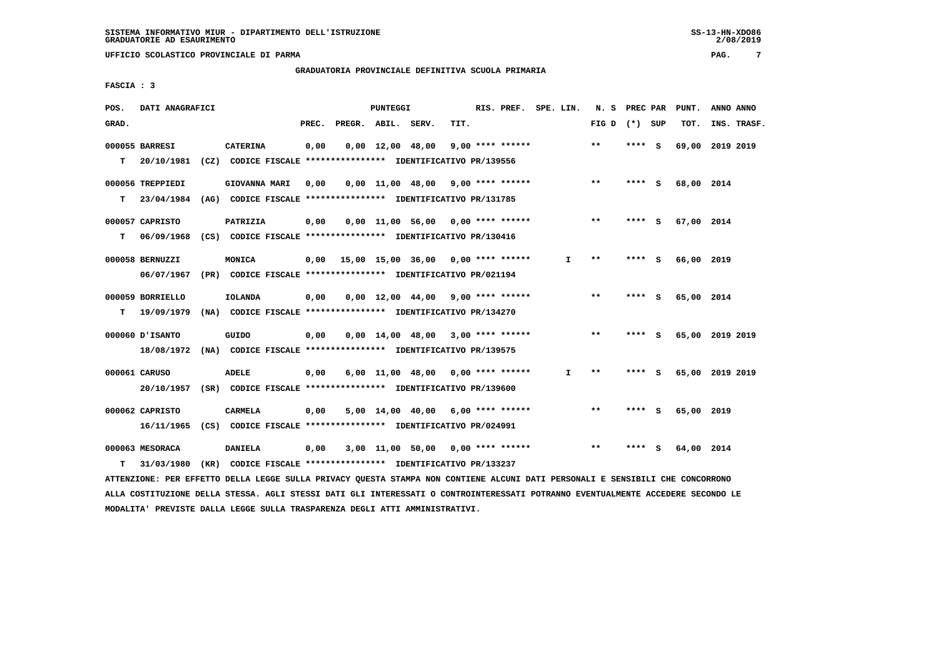# **GRADUATORIA PROVINCIALE DEFINITIVA SCUOLA PRIMARIA**

 **FASCIA : 3**

| POS.  | DATI ANAGRAFICI  |                                                               |       |                    | PUNTEGGI |                                     |      | RIS. PREF. SPE. LIN. |    | N. S            | PREC PAR |     | PUNT.           | ANNO ANNO |             |
|-------|------------------|---------------------------------------------------------------|-------|--------------------|----------|-------------------------------------|------|----------------------|----|-----------------|----------|-----|-----------------|-----------|-------------|
| GRAD. |                  |                                                               | PREC. | PREGR. ABIL. SERV. |          |                                     | TIT. |                      |    | FIG D $(*)$ SUP |          |     | TOT.            |           | INS. TRASF. |
|       | 000055 BARRESI   | <b>CATERINA</b>                                               | 0,00  |                    |          | $0.00 \quad 12.00 \quad 48.00$      |      | $9,00$ **** ******   |    | **              | **** S   |     | 69,00 2019 2019 |           |             |
| т     | 20/10/1981       | (CZ) CODICE FISCALE **************** IDENTIFICATIVO PR/139556 |       |                    |          |                                     |      |                      |    |                 |          |     |                 |           |             |
|       | 000056 TREPPIEDI | GIOVANNA MARI                                                 | 0.00  |                    |          | $0,00$ 11,00 48,00 9,00 **** ****** |      |                      |    | $* *$           | **** S   |     | 68,00 2014      |           |             |
| т     | 23/04/1984       | (AG) CODICE FISCALE **************** IDENTIFICATIVO PR/131785 |       |                    |          |                                     |      |                      |    |                 |          |     |                 |           |             |
|       | 000057 CAPRISTO  | PATRIZIA                                                      | 0,00  |                    |          | $0.00$ 11.00 56.00 0.00 **** ****** |      |                      |    | $***$           | **** S   |     | 67,00 2014      |           |             |
| т     | 06/09/1968       | (CS) CODICE FISCALE **************** IDENTIFICATIVO PR/130416 |       |                    |          |                                     |      |                      |    |                 |          |     |                 |           |             |
|       | 000058 BERNUZZI  | MONICA                                                        | 0,00  |                    |          | 15,00 15,00 36,00 0,00 **** ******  |      |                      | I. | $* *$           | **** S   |     | 66,00 2019      |           |             |
|       | 06/07/1967       | (PR) CODICE FISCALE **************** IDENTIFICATIVO PR/021194 |       |                    |          |                                     |      |                      |    |                 |          |     |                 |           |             |
|       | 000059 BORRIELLO | <b>IOLANDA</b>                                                | 0,00  |                    |          | $0,00$ 12,00 44,00 9,00 **** ****** |      |                      |    | **              | **** S   |     | 65,00           | 2014      |             |
| т     | 19/09/1979       | (NA) CODICE FISCALE **************** IDENTIFICATIVO PR/134270 |       |                    |          |                                     |      |                      |    |                 |          |     |                 |           |             |
|       | 000060 D'ISANTO  | GUIDO                                                         | 0,00  |                    |          | $0.00$ 14.00 48.00 3.00 **** ****** |      |                      |    | $* *$           | **** S   |     | 65,00 2019 2019 |           |             |
|       | 18/08/1972       | (NA) CODICE FISCALE **************** IDENTIFICATIVO PR/139575 |       |                    |          |                                     |      |                      |    |                 |          |     |                 |           |             |
|       | 000061 CARUSO    | <b>ADELE</b>                                                  | 0,00  |                    |          | $6,00$ 11,00 48,00 0,00 **** ****** |      |                      | I. | **              | ****     | - S | 65,00 2019 2019 |           |             |
|       | 20/10/1957       | (SR) CODICE FISCALE **************** IDENTIFICATIVO PR/139600 |       |                    |          |                                     |      |                      |    |                 |          |     |                 |           |             |
|       | 000062 CAPRISTO  | CARMELA                                                       | 0,00  |                    |          | $5,00$ 14,00 40,00 6,00 **** ****** |      |                      |    | $* *$           | **** S   |     | 65,00 2019      |           |             |
|       | 16/11/1965       | (CS) CODICE FISCALE **************** IDENTIFICATIVO PR/024991 |       |                    |          |                                     |      |                      |    |                 |          |     |                 |           |             |
|       | 000063 MESORACA  | <b>DANIELA</b>                                                | 0,00  |                    |          | 3,00 11,00 50,00                    |      | $0.00$ **** ******   |    | $**$            | ****     | - S | 64,00 2014      |           |             |
| т     | 31/03/1980       | (KR) CODICE FISCALE **************** IDENTIFICATIVO PR/133237 |       |                    |          |                                     |      |                      |    |                 |          |     |                 |           |             |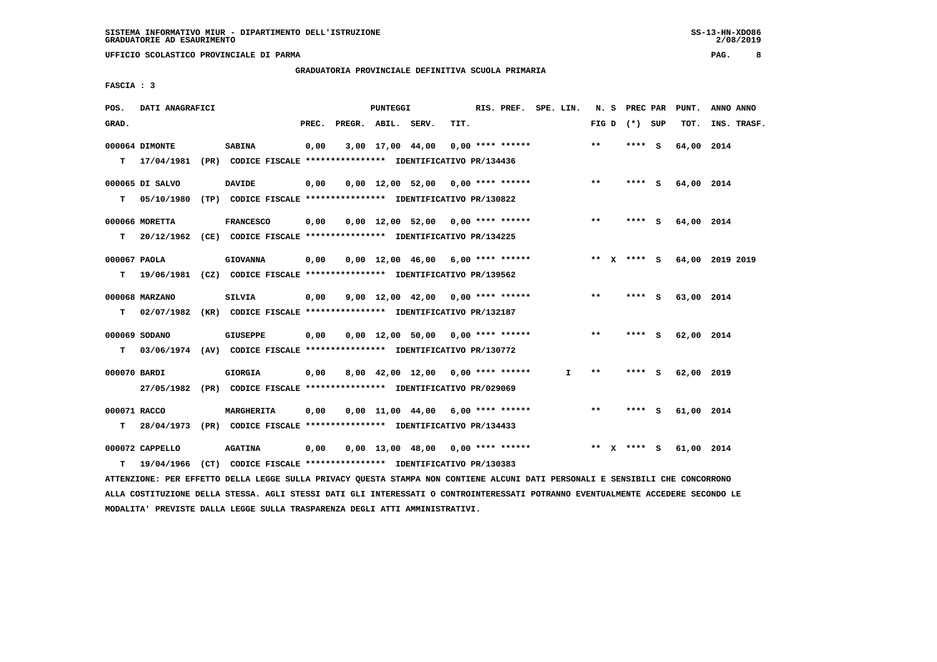$2/08/2019$ 

# **GRADUATORIA PROVINCIALE DEFINITIVA SCUOLA PRIMARIA**

 **FASCIA : 3**

| POS.         | DATI ANAGRAFICI  |                                                                          |       |                    | PUNTEGGI |                                     |      | RIS. PREF. SPE. LIN. |    | N.S   | PREC PAR        |     | PUNT.      | ANNO ANNO       |
|--------------|------------------|--------------------------------------------------------------------------|-------|--------------------|----------|-------------------------------------|------|----------------------|----|-------|-----------------|-----|------------|-----------------|
| GRAD.        |                  |                                                                          | PREC. | PREGR. ABIL. SERV. |          |                                     | TIT. |                      |    |       | FIG D $(*)$ SUP |     | TOT.       | INS. TRASF.     |
|              | 000064 DIMONTE   | <b>SABINA</b>                                                            | 0,00  |                    |          | 3,00 17,00 44,00                    |      | 0,00 **** ******     |    | $* *$ | **** S          |     | 64,00 2014 |                 |
|              | $T = 17/04/1981$ | (PR) CODICE FISCALE **************** IDENTIFICATIVO PR/134436            |       |                    |          |                                     |      |                      |    |       |                 |     |            |                 |
|              | 000065 DI SALVO  | <b>DAVIDE</b>                                                            | 0,00  |                    |          | $0,00$ 12,00 52,00 0,00 **** ****** |      |                      |    | $**$  | **** S          |     | 64,00 2014 |                 |
| т            |                  | 05/10/1980 (TP) CODICE FISCALE **************** IDENTIFICATIVO PR/130822 |       |                    |          |                                     |      |                      |    |       |                 |     |            |                 |
|              | 000066 MORETTA   | <b>FRANCESCO</b>                                                         | 0,00  |                    |          | $0,00$ 12,00 52,00 0,00 **** ****** |      |                      |    | **    | **** S          |     | 64,00 2014 |                 |
| т            |                  | 20/12/1962 (CE) CODICE FISCALE **************** IDENTIFICATIVO PR/134225 |       |                    |          |                                     |      |                      |    |       |                 |     |            |                 |
| 000067 PAOLA |                  | <b>GIOVANNA</b>                                                          | 0,00  |                    |          | $0.00$ 12.00 46.00 6.00 **** ****** |      |                      |    |       | ** x **** s     |     |            | 64,00 2019 2019 |
| т            |                  | 19/06/1981 (CZ) CODICE FISCALE **************** IDENTIFICATIVO PR/139562 |       |                    |          |                                     |      |                      |    |       |                 |     |            |                 |
|              | 000068 MARZANO   | <b>SILVIA</b>                                                            | 0,00  |                    |          | $9,00$ 12,00 42,00 0,00 **** ****** |      |                      |    | $***$ | **** S          |     | 63,00 2014 |                 |
| т            |                  | 02/07/1982 (KR) CODICE FISCALE *************** IDENTIFICATIVO PR/132187  |       |                    |          |                                     |      |                      |    |       |                 |     |            |                 |
|              | 000069 SODANO    | GIUSEPPE                                                                 | 0,00  |                    |          | $0.00$ 12.00 50.00 0.00 **** ****** |      |                      |    | $* *$ | **** S          |     | 62,00 2014 |                 |
| T.           |                  | 03/06/1974 (AV) CODICE FISCALE **************** IDENTIFICATIVO PR/130772 |       |                    |          |                                     |      |                      |    |       |                 |     |            |                 |
| 000070 BARDI |                  | <b>GIORGIA</b>                                                           | 0,00  |                    |          | $8,00$ 42,00 12,00 0,00 **** ****** |      |                      | I. | $***$ | ****            | - S | 62,00 2019 |                 |
|              |                  | 27/05/1982 (PR) CODICE FISCALE *************** IDENTIFICATIVO PR/029069  |       |                    |          |                                     |      |                      |    |       |                 |     |            |                 |
| 000071 RACCO |                  | <b>MARGHERITA</b>                                                        | 0,00  |                    |          | $0.00$ 11.00 44.00 6.00 **** ****** |      |                      |    | **    | **** S          |     | 61,00 2014 |                 |
| т            |                  | 28/04/1973 (PR) CODICE FISCALE *************** IDENTIFICATIVO PR/134433  |       |                    |          |                                     |      |                      |    |       |                 |     |            |                 |
|              | 000072 CAPPELLO  | <b>AGATINA</b>                                                           | 0,00  |                    |          | $0,00$ 13,00 48,00 0,00 **** ****** |      |                      |    | ** X  | **** S          |     | 61,00 2014 |                 |
| т            | 19/04/1966       | (CT) CODICE FISCALE *************** IDENTIFICATIVO PR/130383             |       |                    |          |                                     |      |                      |    |       |                 |     |            |                 |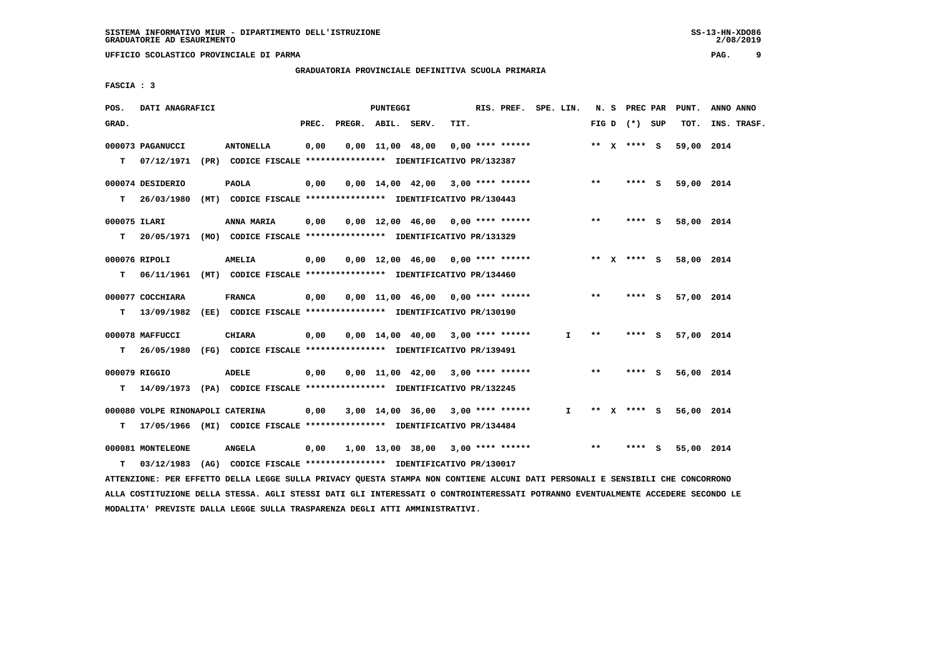**GRADUATORIA PROVINCIALE DEFINITIVA SCUOLA PRIMARIA**

 **FASCIA : 3**

| POS.         | DATI ANAGRAFICI                  |                                                                                                                               |      |                          | <b>PUNTEGGI</b> |                                     |      | RIS. PREF. SPE. LIN. |  |              |       |                 | N. S PREC PAR PUNT. | ANNO ANNO   |
|--------------|----------------------------------|-------------------------------------------------------------------------------------------------------------------------------|------|--------------------------|-----------------|-------------------------------------|------|----------------------|--|--------------|-------|-----------------|---------------------|-------------|
| GRAD.        |                                  |                                                                                                                               |      | PREC. PREGR. ABIL. SERV. |                 |                                     | TIT. |                      |  |              |       | FIG D $(*)$ SUP | тот.                | INS. TRASF. |
|              | 000073 PAGANUCCI                 | <b>ANTONELLA</b>                                                                                                              | 0,00 |                          |                 | $0,00$ 11,00 48,00 0,00 **** ****** |      |                      |  |              |       | ** x **** S     | 59,00 2014          |             |
| T.           |                                  | 07/12/1971 (PR) CODICE FISCALE **************** IDENTIFICATIVO PR/132387                                                      |      |                          |                 |                                     |      |                      |  |              |       |                 |                     |             |
|              | 000074 DESIDERIO                 | <b>PAOLA</b>                                                                                                                  | 0,00 |                          |                 | $0.00$ 14.00 42.00 3.00 **** ****** |      |                      |  |              | $***$ | **** S          | 59,00 2014          |             |
| т            |                                  | 26/03/1980 (MT) CODICE FISCALE **************** IDENTIFICATIVO PR/130443                                                      |      |                          |                 |                                     |      |                      |  |              |       |                 |                     |             |
| 000075 ILARI |                                  | <b>ANNA MARIA</b>                                                                                                             | 0,00 |                          |                 | $0,00$ 12,00 46,00 0,00 **** ****** |      |                      |  |              | $***$ | **** S          | 58,00 2014          |             |
| т            |                                  | 20/05/1971 (MO) CODICE FISCALE *************** IDENTIFICATIVO PR/131329                                                       |      |                          |                 |                                     |      |                      |  |              |       |                 |                     |             |
|              | 000076 RIPOLI                    | <b>AMELIA</b>                                                                                                                 | 0,00 |                          |                 | $0,00$ 12,00 46,00 0,00 **** ****** |      |                      |  |              |       | ** x **** S     | 58,00 2014          |             |
| T.           |                                  | 06/11/1961 (MT) CODICE FISCALE *************** IDENTIFICATIVO PR/134460                                                       |      |                          |                 |                                     |      |                      |  |              |       |                 |                     |             |
|              | 000077 COCCHIARA                 | <b>FRANCA</b>                                                                                                                 | 0,00 |                          |                 | $0,00$ 11,00 46,00 0,00 **** ****** |      |                      |  |              | $***$ | $***$ S         | 57,00 2014          |             |
| т            |                                  | 13/09/1982 (EE) CODICE FISCALE *************** IDENTIFICATIVO PR/130190                                                       |      |                          |                 |                                     |      |                      |  |              |       |                 |                     |             |
|              | 000078 MAFFUCCI                  | CHIARA                                                                                                                        | 0,00 |                          |                 | $0,00$ 14,00 40,00 3,00 **** ****** |      |                      |  | Ι.           | $* *$ | $***$ S         | 57,00 2014          |             |
| т            |                                  | 26/05/1980 (FG) CODICE FISCALE **************** IDENTIFICATIVO PR/139491                                                      |      |                          |                 |                                     |      |                      |  |              |       |                 |                     |             |
|              | 000079 RIGGIO                    | ADELE                                                                                                                         | 0,00 |                          |                 | $0,00$ 11,00 42,00 3,00 **** ****** |      |                      |  |              | $***$ | $***$ S         | 56,00 2014          |             |
| т            |                                  | 14/09/1973 (PA) CODICE FISCALE *************** IDENTIFICATIVO PR/132245                                                       |      |                          |                 |                                     |      |                      |  |              |       |                 |                     |             |
|              | 000080 VOLPE RINONAPOLI CATERINA |                                                                                                                               | 0,00 |                          |                 | $3,00$ 14,00 36,00 3,00 **** ****** |      |                      |  | $\mathbf{I}$ |       | ** X **** S     | 56,00 2014          |             |
| т            |                                  | 17/05/1966 (MI) CODICE FISCALE **************** IDENTIFICATIVO PR/134484                                                      |      |                          |                 |                                     |      |                      |  |              |       |                 |                     |             |
|              | 000081 MONTELEONE                | <b>ANGELA</b>                                                                                                                 | 0,00 |                          |                 | 1,00 13,00 38,00 3,00 **** ******   |      |                      |  |              | $***$ | **** S          | 55,00 2014          |             |
| т            |                                  | 03/12/1983 (AG) CODICE FISCALE **************** IDENTIFICATIVO PR/130017                                                      |      |                          |                 |                                     |      |                      |  |              |       |                 |                     |             |
|              |                                  | ATTENZIONE: PER EFFETTO DELLA LEGGE SULLA PRIVACY QUESTA STAMPA NON CONTIENE ALCUNI DATI PERSONALI E SENSIBILI CHE CONCORRONO |      |                          |                 |                                     |      |                      |  |              |       |                 |                     |             |

 **ALLA COSTITUZIONE DELLA STESSA. AGLI STESSI DATI GLI INTERESSATI O CONTROINTERESSATI POTRANNO EVENTUALMENTE ACCEDERE SECONDO LE MODALITA' PREVISTE DALLA LEGGE SULLA TRASPARENZA DEGLI ATTI AMMINISTRATIVI.**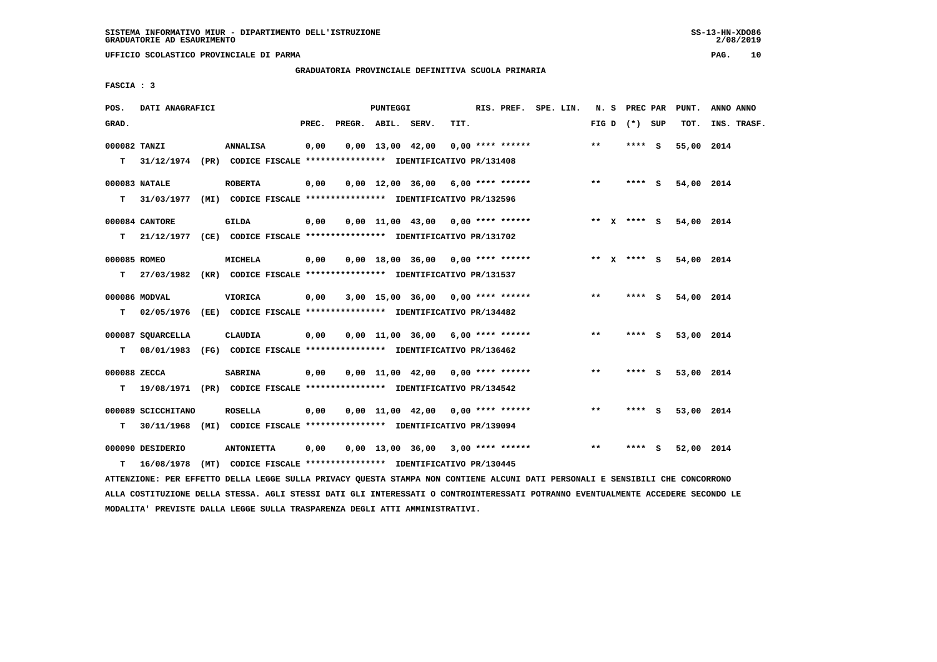**UFFICIO SCOLASTICO PROVINCIALE DI PARMA PAG. 10**

 **GRADUATORIA PROVINCIALE DEFINITIVA SCUOLA PRIMARIA**

 **FASCIA : 3**

| POS.         | DATI ANAGRAFICI                                                            |                                                                                    |       |                    | <b>PUNTEGGI</b> |                                     |      | RIS. PREF. SPE. LIN. |  |       | N. S PREC PAR   | PUNT.                  | ANNO ANNO   |
|--------------|----------------------------------------------------------------------------|------------------------------------------------------------------------------------|-------|--------------------|-----------------|-------------------------------------|------|----------------------|--|-------|-----------------|------------------------|-------------|
| GRAD.        |                                                                            |                                                                                    | PREC. | PREGR. ABIL. SERV. |                 |                                     | TIT. |                      |  |       | FIG D $(*)$ SUP | TOT.                   | INS. TRASF. |
| 000082 TANZI |                                                                            | ANNALISA                                                                           | 0,00  |                    |                 | $0,00 \quad 13,00 \quad 42,00$      |      | 0,00 **** ******     |  | $**$  | **** S          | 55,00 2014             |             |
|              | T 31/12/1974 (PR) CODICE FISCALE *************** IDENTIFICATIVO PR/131408  |                                                                                    |       |                    |                 |                                     |      |                      |  |       |                 |                        |             |
|              | 000083 NATALE                                                              | <b>ROBERTA</b>                                                                     | 0,00  |                    |                 | $0,00$ 12,00 36,00 6,00 **** ****** |      |                      |  | $***$ | **** S          | 54,00 2014             |             |
| T.           | 31/03/1977 (MI) CODICE FISCALE **************** IDENTIFICATIVO PR/132596   |                                                                                    |       |                    |                 |                                     |      |                      |  |       |                 |                        |             |
|              | 000084 CANTORE                                                             | <b>GILDA</b>                                                                       | 0,00  |                    |                 | $0,00$ 11,00 43,00 0,00 **** ****** |      |                      |  |       |                 | ** X **** S 54,00 2014 |             |
|              | T 21/12/1977 (CE) CODICE FISCALE **************** IDENTIFICATIVO PR/131702 |                                                                                    |       |                    |                 |                                     |      |                      |  |       |                 |                        |             |
| 000085 ROMEO |                                                                            | MICHELA                                                                            | 0,00  |                    |                 | $0.00$ 18.00 36.00 0.00 **** ****** |      |                      |  |       | ** $X$ **** S   | 54,00 2014             |             |
| T.           | 27/03/1982 (KR) CODICE FISCALE *************** IDENTIFICATIVO PR/131537    |                                                                                    |       |                    |                 |                                     |      |                      |  |       |                 |                        |             |
|              | 000086 MODVAL                                                              | VIORICA                                                                            | 0,00  |                    |                 | 3,00 15,00 36,00 0,00 **** ******   |      |                      |  | $* *$ | $***$ S         | 54,00 2014             |             |
| T.           | 02/05/1976 (EE) CODICE FISCALE **************** IDENTIFICATIVO PR/134482   |                                                                                    |       |                    |                 |                                     |      |                      |  |       |                 |                        |             |
|              | 000087 SOUARCELLA                                                          | CLAUDIA                                                                            | 0,00  |                    |                 | $0,00$ 11,00 36,00 6,00 **** ****** |      |                      |  | $***$ | **** S          | 53,00 2014             |             |
| T.           | 08/01/1983 (FG) CODICE FISCALE **************** IDENTIFICATIVO PR/136462   |                                                                                    |       |                    |                 |                                     |      |                      |  |       |                 |                        |             |
| 000088 ZECCA |                                                                            | <b>SABRINA</b>                                                                     | 0,00  |                    |                 | $0,00$ 11,00 42,00 0,00 **** ****** |      |                      |  | $* *$ | $***$ S         | 53,00 2014             |             |
| T.           | 19/08/1971 (PR) CODICE FISCALE *************** IDENTIFICATIVO PR/134542    |                                                                                    |       |                    |                 |                                     |      |                      |  |       |                 |                        |             |
|              | 000089 SCICCHITANO                                                         | <b>ROSELLA</b>                                                                     | 0,00  |                    |                 | $0,00$ 11,00 42,00 0,00 **** ****** |      |                      |  | $***$ | **** S          | 53,00 2014             |             |
| т            | 30/11/1968 (MI) CODICE FISCALE *************** IDENTIFICATIVO PR/139094    |                                                                                    |       |                    |                 |                                     |      |                      |  |       |                 |                        |             |
|              |                                                                            |                                                                                    |       |                    |                 |                                     |      |                      |  | $* *$ | **** S          |                        |             |
| т            | 000090 DESIDERIO<br>16/08/1978                                             | <b>ANTONIETTA</b><br>(MT) CODICE FISCALE **************** IDENTIFICATIVO PR/130445 | 0,00  |                    |                 | $0,00$ 13,00 36,00 3,00 **** ****** |      |                      |  |       |                 | 52,00 2014             |             |
|              |                                                                            |                                                                                    |       |                    |                 |                                     |      |                      |  |       |                 |                        |             |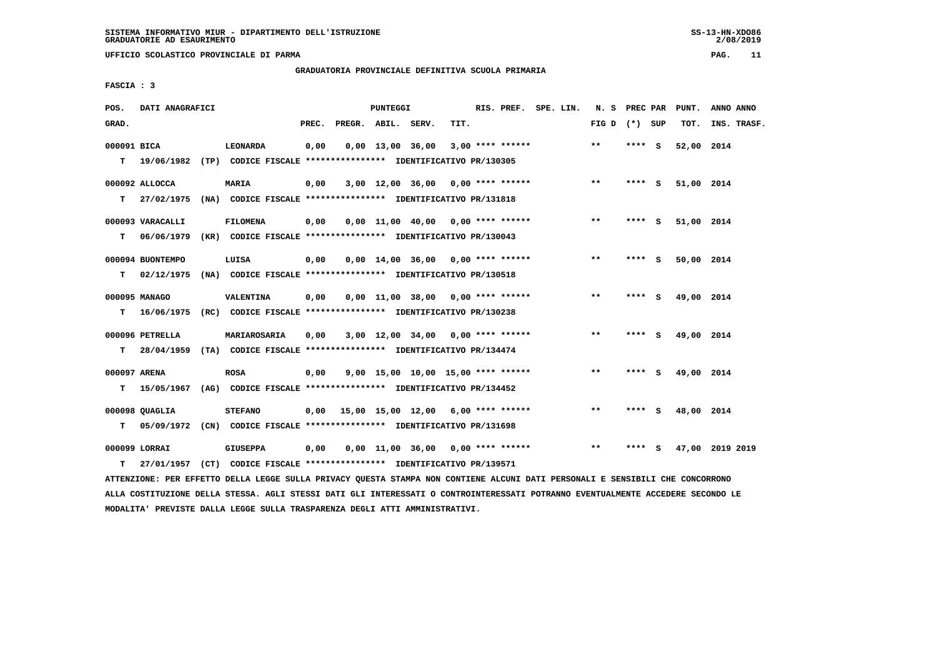**UFFICIO SCOLASTICO PROVINCIALE DI PARMA PAG. 11**

# **GRADUATORIA PROVINCIALE DEFINITIVA SCUOLA PRIMARIA**

 **FASCIA : 3**

| POS.         | DATI ANAGRAFICI  |                                                                                                                               |      |                                           | <b>PUNTEGGI</b> |                                     |      |  | RIS. PREF. SPE. LIN. |                 |         | N. S PREC PAR PUNT. | ANNO ANNO       |
|--------------|------------------|-------------------------------------------------------------------------------------------------------------------------------|------|-------------------------------------------|-----------------|-------------------------------------|------|--|----------------------|-----------------|---------|---------------------|-----------------|
| GRAD.        |                  |                                                                                                                               |      | PREC. PREGR. ABIL. SERV.                  |                 |                                     | TIT. |  |                      | FIG D $(*)$ SUP |         | TOT.                | INS. TRASF.     |
| 000091 BICA  |                  | LEONARDA                                                                                                                      | 0,00 |                                           |                 | $0,00$ 13,00 36,00 3,00 **** ****** |      |  |                      | $***$           | **** S  | 52,00 2014          |                 |
| T.           |                  | 19/06/1982 (TP) CODICE FISCALE **************** IDENTIFICATIVO PR/130305                                                      |      |                                           |                 |                                     |      |  |                      |                 |         |                     |                 |
|              | $000092$ ALLOCCA | MARIA                                                                                                                         | 0,00 |                                           |                 | 3,00 12,00 36,00 0,00 **** ******   |      |  |                      | $* *$           | **** S  | 51,00 2014          |                 |
| T.           | 27/02/1975       | (NA) CODICE FISCALE *************** IDENTIFICATIVO PR/131818                                                                  |      |                                           |                 |                                     |      |  |                      |                 |         |                     |                 |
|              | 000093 VARACALLI | <b>FILOMENA</b>                                                                                                               | 0,00 |                                           |                 | $0,00$ 11,00 40,00 0,00 **** ****** |      |  |                      | $***$           | $***$ S | 51,00 2014          |                 |
| T.           |                  | 06/06/1979 (KR) CODICE FISCALE *************** IDENTIFICATIVO PR/130043                                                       |      |                                           |                 |                                     |      |  |                      |                 |         |                     |                 |
|              | 000094 BUONTEMPO | LUISA                                                                                                                         | 0,00 |                                           |                 | $0,00$ 14,00 36,00 0,00 **** ****** |      |  |                      | $***$           | $***$ S | 50,00 2014          |                 |
|              | $T = 02/12/1975$ | (NA) CODICE FISCALE **************** IDENTIFICATIVO PR/130518                                                                 |      |                                           |                 |                                     |      |  |                      |                 |         |                     |                 |
|              | 000095 MANAGO    | VALENTINA                                                                                                                     | 0,00 |                                           |                 | $0.00$ 11.00 38.00 0.00 **** ****** |      |  |                      | $* *$           | **** S  | 49,00 2014          |                 |
| т            | 16/06/1975       | (RC) CODICE FISCALE *************** IDENTIFICATIVO PR/130238                                                                  |      |                                           |                 |                                     |      |  |                      |                 |         |                     |                 |
|              | 000096 PETRELLA  | <b>MARIAROSARIA</b>                                                                                                           | 0,00 |                                           |                 | 3,00 12,00 34,00 0,00 **** ******   |      |  |                      | $* *$           | **** S  | 49,00 2014          |                 |
| T.           |                  | 28/04/1959 (TA) CODICE FISCALE **************** IDENTIFICATIVO PR/134474                                                      |      |                                           |                 |                                     |      |  |                      |                 |         |                     |                 |
|              |                  |                                                                                                                               |      |                                           |                 |                                     |      |  |                      |                 |         |                     |                 |
| 000097 ARENA |                  | <b>ROSA</b>                                                                                                                   | 0,00 |                                           |                 | 9,00 15,00 10,00 15,00 **** ******  |      |  |                      | $***$           | **** S  | 49,00 2014          |                 |
| T.           |                  | 15/05/1967 (AG) CODICE FISCALE **************** IDENTIFICATIVO PR/134452                                                      |      |                                           |                 |                                     |      |  |                      |                 |         |                     |                 |
|              | 000098 OUAGLIA   | <b>STEFANO</b>                                                                                                                |      | $0,00$ 15,00 15,00 12,00 6,00 **** ****** |                 |                                     |      |  |                      | $* *$           | **** S  | 48,00 2014          |                 |
| т            |                  | 05/09/1972 (CN) CODICE FISCALE **************** IDENTIFICATIVO PR/131698                                                      |      |                                           |                 |                                     |      |  |                      |                 |         |                     |                 |
|              | 000099 LORRAI    | <b>GIUSEPPA</b>                                                                                                               | 0,00 |                                           |                 | $0,00$ 11,00 36,00 0,00 **** ****** |      |  |                      | $***$           | **** S  |                     | 47,00 2019 2019 |
| T.           |                  | 27/01/1957 (CT) CODICE FISCALE **************** IDENTIFICATIVO PR/139571                                                      |      |                                           |                 |                                     |      |  |                      |                 |         |                     |                 |
|              |                  | ATTENZIONE: PER EFFETTO DELLA LEGGE SULLA PRIVACY QUESTA STAMPA NON CONTIENE ALCUNI DATI PERSONALI E SENSIBILI CHE CONCORRONO |      |                                           |                 |                                     |      |  |                      |                 |         |                     |                 |

 **ALLA COSTITUZIONE DELLA STESSA. AGLI STESSI DATI GLI INTERESSATI O CONTROINTERESSATI POTRANNO EVENTUALMENTE ACCEDERE SECONDO LE MODALITA' PREVISTE DALLA LEGGE SULLA TRASPARENZA DEGLI ATTI AMMINISTRATIVI.**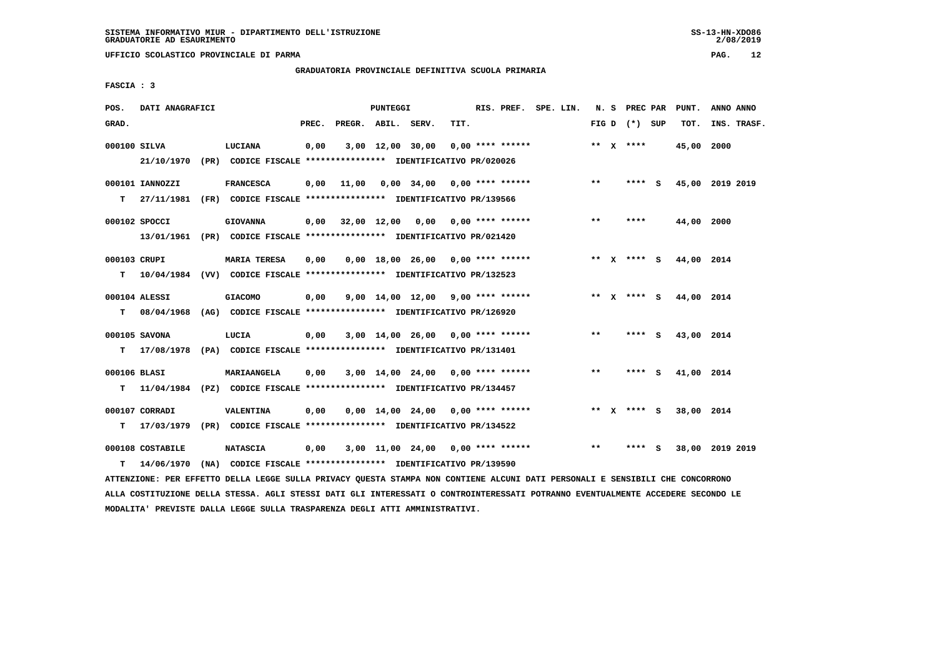**UFFICIO SCOLASTICO PROVINCIALE DI PARMA PAG. 12**

# **GRADUATORIA PROVINCIALE DEFINITIVA SCUOLA PRIMARIA**

 **FASCIA : 3**

| POS.         | DATI ANAGRAFICI  |                                                                                                                               |      |                          | PUNTEGGI |                                          |      | RIS. PREF. SPE. LIN. |  |       |                 | N. S PREC PAR PUNT.    | ANNO ANNO       |
|--------------|------------------|-------------------------------------------------------------------------------------------------------------------------------|------|--------------------------|----------|------------------------------------------|------|----------------------|--|-------|-----------------|------------------------|-----------------|
| GRAD.        |                  |                                                                                                                               |      | PREC. PREGR. ABIL. SERV. |          |                                          | TIT. |                      |  |       | FIG D $(*)$ SUP | тот.                   | INS. TRASF.     |
| 000100 SILVA |                  | LUCIANA                                                                                                                       | 0,00 |                          |          | $3,00$ 12,00 30,00 0,00 **** ******      |      |                      |  |       | ** $X$ ****     | 45,00 2000             |                 |
|              | 21/10/1970       | (PR) CODICE FISCALE *************** IDENTIFICATIVO PR/020026                                                                  |      |                          |          |                                          |      |                      |  |       |                 |                        |                 |
|              | 000101 IANNOZZI  | <b>FRANCESCA</b>                                                                                                              | 0,00 |                          |          |                                          |      |                      |  | $***$ | **** S          |                        | 45,00 2019 2019 |
|              |                  | T 27/11/1981 (FR) CODICE FISCALE *************** IDENTIFICATIVO PR/139566                                                     |      |                          |          |                                          |      |                      |  |       |                 |                        |                 |
|              |                  |                                                                                                                               |      |                          |          |                                          |      |                      |  |       |                 |                        |                 |
|              | 000102 SPOCCI    | <b>GIOVANNA</b>                                                                                                               |      |                          |          | $0,00$ 32,00 12,00 0,00 0,00 **** ****** |      |                      |  | $***$ | ****            | 44,00 2000             |                 |
|              |                  | 13/01/1961 (PR) CODICE FISCALE **************** IDENTIFICATIVO PR/021420                                                      |      |                          |          |                                          |      |                      |  |       |                 |                        |                 |
| 000103 CRUPI |                  | <b>MARIA TERESA</b>                                                                                                           | 0,00 |                          |          | $0,00$ 18,00 26,00 0,00 **** ******      |      |                      |  |       |                 | ** X **** S 44,00 2014 |                 |
|              |                  | T  10/04/1984 (VV) CODICE FISCALE **************** IDENTIFICATIVO PR/132523                                                   |      |                          |          |                                          |      |                      |  |       |                 |                        |                 |
|              |                  |                                                                                                                               |      |                          |          |                                          |      |                      |  |       |                 |                        |                 |
|              | 000104 ALESSI    | <b>GIACOMO</b>                                                                                                                | 0,00 |                          |          | $9,00$ 14,00 12,00 9,00 **** ******      |      |                      |  |       |                 | ** X **** S 44,00 2014 |                 |
|              |                  | T 08/04/1968 (AG) CODICE FISCALE *************** IDENTIFICATIVO PR/126920                                                     |      |                          |          |                                          |      |                      |  |       |                 |                        |                 |
|              | 000105 SAVONA    | LUCIA                                                                                                                         | 0,00 |                          |          | $3,00$ 14,00 26,00 0,00 **** ******      |      |                      |  | $* *$ | **** S          | 43,00 2014             |                 |
|              |                  | T 17/08/1978 (PA) CODICE FISCALE *************** IDENTIFICATIVO PR/131401                                                     |      |                          |          |                                          |      |                      |  |       |                 |                        |                 |
|              |                  |                                                                                                                               |      |                          |          |                                          |      |                      |  |       |                 |                        |                 |
| 000106 BLASI |                  | MARIAANGELA                                                                                                                   | 0,00 |                          |          | $3,00$ 14,00 24,00 0,00 **** ******      |      |                      |  | $***$ | **** S          | 41,00 2014             |                 |
|              |                  | T 11/04/1984 (PZ) CODICE FISCALE *************** IDENTIFICATIVO PR/134457                                                     |      |                          |          |                                          |      |                      |  |       |                 |                        |                 |
|              | 000107 CORRADI   | VALENTINA                                                                                                                     | 0,00 |                          |          | $0,00$ 14,00 24,00 0,00 **** ******      |      |                      |  |       | ** x **** S     | 38,00 2014             |                 |
|              |                  | T 17/03/1979 (PR) CODICE FISCALE *************** IDENTIFICATIVO PR/134522                                                     |      |                          |          |                                          |      |                      |  |       |                 |                        |                 |
|              | 000108 COSTABILE | <b>NATASCIA</b>                                                                                                               |      |                          |          | 3,00 11,00 24,00 0,00 **** ******        |      |                      |  | $***$ | **** S          |                        | 38,00 2019 2019 |
|              |                  |                                                                                                                               | 0,00 |                          |          |                                          |      |                      |  |       |                 |                        |                 |
| т            | 14/06/1970       | (NA) CODICE FISCALE **************** IDENTIFICATIVO PR/139590                                                                 |      |                          |          |                                          |      |                      |  |       |                 |                        |                 |
|              |                  | ATTENZIONE: PER EFFETTO DELLA LEGGE SULLA PRIVACY QUESTA STAMPA NON CONTIENE ALCUNI DATI PERSONALI E SENSIBILI CHE CONCORRONO |      |                          |          |                                          |      |                      |  |       |                 |                        |                 |

 **ALLA COSTITUZIONE DELLA STESSA. AGLI STESSI DATI GLI INTERESSATI O CONTROINTERESSATI POTRANNO EVENTUALMENTE ACCEDERE SECONDO LE MODALITA' PREVISTE DALLA LEGGE SULLA TRASPARENZA DEGLI ATTI AMMINISTRATIVI.**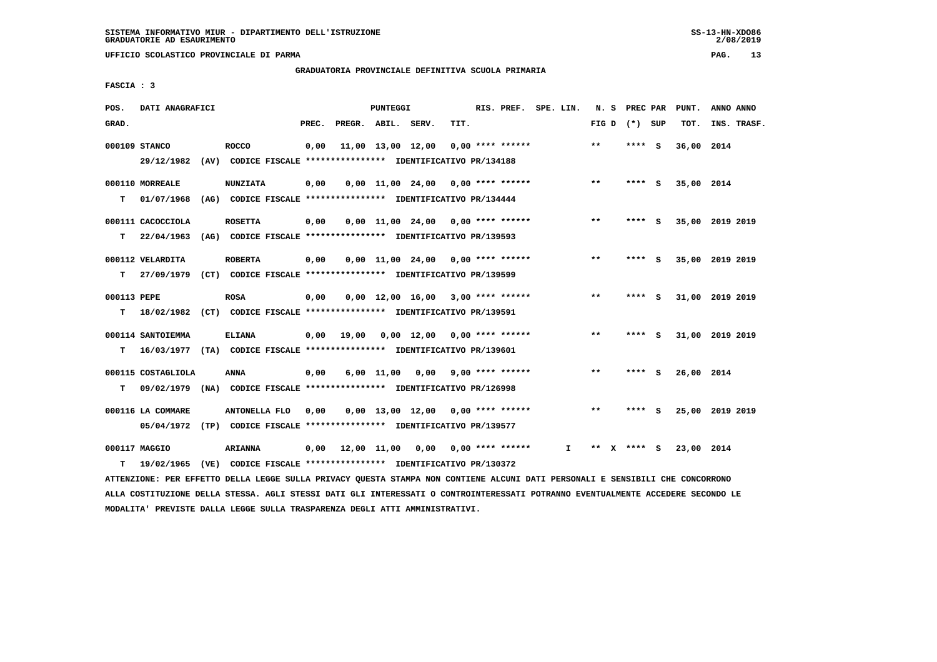**UFFICIO SCOLASTICO PROVINCIALE DI PARMA PAG. 13**

# **GRADUATORIA PROVINCIALE DEFINITIVA SCUOLA PRIMARIA**

 **FASCIA : 3**

| POS.             | DATI ANAGRAFICI                                                                              |                                                                                  |       |             | PUNTEGGI       |                                     |      | RIS. PREF. SPE. LIN.      |    |              | N. S PREC PAR |     | PUNT.      | ANNO ANNO       |
|------------------|----------------------------------------------------------------------------------------------|----------------------------------------------------------------------------------|-------|-------------|----------------|-------------------------------------|------|---------------------------|----|--------------|---------------|-----|------------|-----------------|
| GRAD.            |                                                                                              |                                                                                  | PREC. |             | PREGR. ABIL.   | SERV.                               | TIT. |                           |    | FIG D        | (*) SUP       |     | TOT.       | INS. TRASF.     |
|                  | 000109 STANCO<br>29/12/1982                                                                  | <b>ROCCO</b><br>(AV) CODICE FISCALE **************** IDENTIFICATIVO PR/134188    | 0.00  |             |                | 11,00 13,00 12,00                   |      | $0.00$ **** ******        |    | $\star\star$ | **** S        |     | 36,00 2014 |                 |
| т                | 000110 MORREALE<br>01/07/1968                                                                | <b>NUNZIATA</b><br>(AG) CODICE FISCALE **************** IDENTIFICATIVO PR/134444 | 0,00  |             |                | 0,00 11,00 24,00                    |      | $0.00$ **** ******        |    | $***$        | **** S        |     | 35,00 2014 |                 |
| т                | 000111 CACOCCIOLA<br>22/04/1963                                                              | <b>ROSETTA</b><br>(AG) CODICE FISCALE **************** IDENTIFICATIVO PR/139593  | 0,00  |             |                | $0.00$ 11.00 24.00 0.00 **** ****** |      |                           |    | $***$        | **** S        |     |            | 35,00 2019 2019 |
| т                | 000112 VELARDITA<br>27/09/1979                                                               | <b>ROBERTA</b><br>(CT) CODICE FISCALE **************** IDENTIFICATIVO PR/139599  | 0,00  |             |                | $0.00$ 11.00 24.00 0.00 **** ****** |      |                           |    | $* *$        | ****          | - S |            | 35,00 2019 2019 |
| 000113 PEPE<br>т | 18/02/1982 (CT) CODICE FISCALE **************** IDENTIFICATIVO PR/139591                     | <b>ROSA</b>                                                                      | 0,00  |             |                | $0.00$ 12.00 16.00 3.00 **** ****** |      |                           |    | $* *$        | ****          | - 5 |            | 31,00 2019 2019 |
| т                | 000114 SANTOIEMMA<br>16/03/1977 (TA) CODICE FISCALE *************** IDENTIFICATIVO PR/139601 | <b>ELIANA</b>                                                                    | 0,00  | 19,00       |                | $0,00$ 12,00 0,00 **** ******       |      |                           |    | $**$         | **** S        |     |            | 31,00 2019 2019 |
| т                | 000115 COSTAGLIOLA<br>09/02/1979                                                             | <b>ANNA</b><br>(NA) CODICE FISCALE **************** IDENTIFICATIVO PR/126998     | 0,00  |             | $6,00$ $11,00$ | 0,00                                |      | $9,00$ **** ******        |    | $* *$        | **** S        |     | 26,00 2014 |                 |
|                  | 000116 LA COMMARE<br>05/04/1972 (TP) CODICE FISCALE *************** IDENTIFICATIVO PR/139577 | ANTONELLA FLO                                                                    | 0.00  |             |                | $0.00$ 13.00 12.00 0.00 **** ****** |      |                           |    | $* *$        | ****          | - 5 |            | 25,00 2019 2019 |
| т                | 000117 MAGGIO<br>19/02/1965                                                                  | <b>ARIANNA</b><br>(VE) CODICE FISCALE **************** IDENTIFICATIVO PR/130372  | 0,00  | 12,00 11,00 |                |                                     |      | $0,00$ $0,00$ **** ****** | I. | **           | **** S        |     | 23,00 2014 |                 |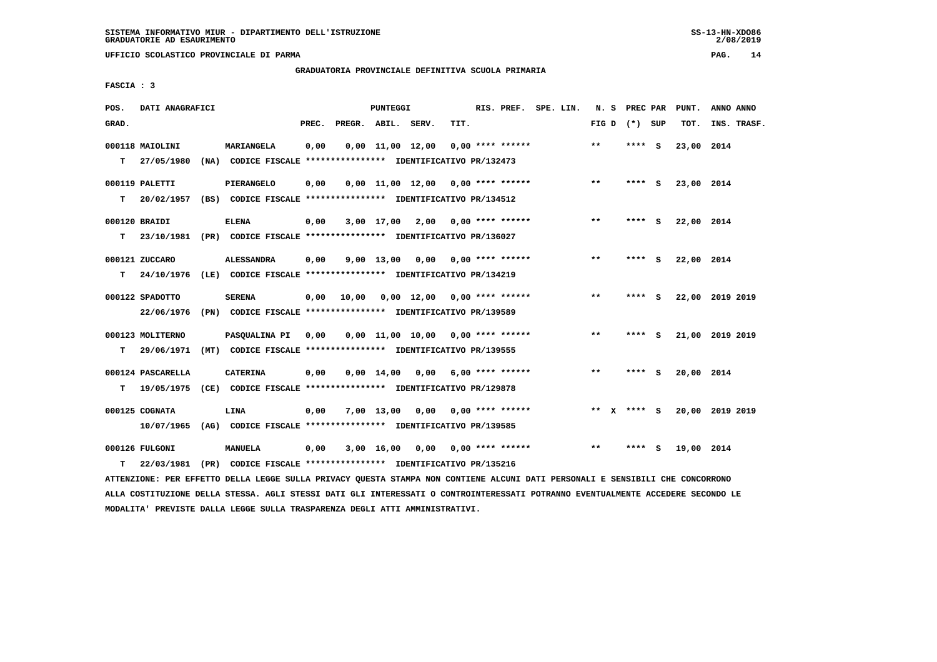**UFFICIO SCOLASTICO PROVINCIALE DI PARMA PAG. 14**

# **GRADUATORIA PROVINCIALE DEFINITIVA SCUOLA PRIMARIA**

 **FASCIA : 3**

| POS.  | DATI ANAGRAFICI   |      |                                                                          |       |                    | PUNTEGGI     |                                     |                           | RIS. PREF. SPE. LIN. |  |                 |      |          | N. S PREC PAR PUNT. | ANNO ANNO       |
|-------|-------------------|------|--------------------------------------------------------------------------|-------|--------------------|--------------|-------------------------------------|---------------------------|----------------------|--|-----------------|------|----------|---------------------|-----------------|
| GRAD. |                   |      |                                                                          | PREC. | PREGR. ABIL. SERV. |              |                                     | TIT.                      |                      |  | FIG D $(*)$ SUP |      |          | TOT.                | INS. TRASF.     |
|       | 000118 MAIOLINI   |      | MARIANGELA                                                               | 0,00  |                    |              | $0,00 \quad 11,00 \quad 12,00$      |                           | $0.00$ **** ******   |  | $***$           |      | $***$ S  | 23,00 2014          |                 |
| т     | 27/05/1980        | (NA) | CODICE FISCALE **************** IDENTIFICATIVO PR/132473                 |       |                    |              |                                     |                           |                      |  |                 |      |          |                     |                 |
|       | 000119 PALETTI    |      | PIERANGELO                                                               | 0,00  |                    |              | $0,00$ 11,00 12,00 0,00 **** ****** |                           |                      |  | $**$            |      | $***5$   | 23,00 2014          |                 |
| т     | 20/02/1957        |      | (BS) CODICE FISCALE **************** IDENTIFICATIVO PR/134512            |       |                    |              |                                     |                           |                      |  |                 |      |          |                     |                 |
|       | 000120 BRAIDI     |      | <b>ELENA</b>                                                             | 0,00  |                    |              | $3,00$ 17,00 2,00 0,00 **** ******  |                           |                      |  | $***$           |      | **** S   | 22,00 2014          |                 |
| т     |                   |      | 23/10/1981 (PR) CODICE FISCALE **************** IDENTIFICATIVO PR/136027 |       |                    |              |                                     |                           |                      |  |                 |      |          |                     |                 |
|       | 000121 ZUCCARO    |      | <b>ALESSANDRA</b>                                                        | 0,00  |                    | 9,00 13,00   |                                     | $0.00$ $0.00$ **** ****** |                      |  | $***$           | **** | - 5      | 22,00 2014          |                 |
| T.    | 24/10/1976        |      | (LE) CODICE FISCALE *************** IDENTIFICATIVO PR/134219             |       |                    |              |                                     |                           |                      |  |                 |      |          |                     |                 |
|       | 000122 SPADOTTO   |      | <b>SERENA</b>                                                            | 0,00  | 10,00              |              | 0,00 12,00 0,00 **** ******         |                           |                      |  | $***$           |      | **** $S$ |                     | 22,00 2019 2019 |
|       | 22/06/1976        |      | (PN) CODICE FISCALE **************** IDENTIFICATIVO PR/139589            |       |                    |              |                                     |                           |                      |  |                 |      |          |                     |                 |
|       | 000123 MOLITERNO  |      | PASOUALINA PI                                                            | 0,00  |                    |              | 0,00 11,00 10,00 0,00 **** ******   |                           |                      |  | $***$           | **** | - S      |                     | 21,00 2019 2019 |
| т     | 29/06/1971        |      | (MT) CODICE FISCALE **************** IDENTIFICATIVO PR/139555            |       |                    |              |                                     |                           |                      |  |                 |      |          |                     |                 |
|       | 000124 PASCARELLA |      | <b>CATERINA</b>                                                          | 0,00  |                    | 0,00 14,00   | 0.00                                |                           | $6.00$ **** ******   |  | $***$           | **** | - 5      | 20,00 2014          |                 |
| т     | 19/05/1975        |      | (CE) CODICE FISCALE **************** IDENTIFICATIVO PR/129878            |       |                    |              |                                     |                           |                      |  |                 |      |          |                     |                 |
|       | 000125 COGNATA    |      | LINA                                                                     | 0.00  |                    | $7,00$ 13,00 |                                     | $0,00$ $0,00$ **** ****** |                      |  | ** x **** S     |      |          |                     | 20,00 2019 2019 |
|       | 10/07/1965        |      | (AG) CODICE FISCALE *************** IDENTIFICATIVO PR/139585             |       |                    |              |                                     |                           |                      |  |                 |      |          |                     |                 |
|       | 000126 FULGONI    |      | <b>MANUELA</b>                                                           | 0,00  |                    | 3,00 16,00   |                                     | $0,00$ $0,00$ **** ****** |                      |  | $* *$           | **** | - S      | 19,00 2014          |                 |
| т     | 22/03/1981        |      | (PR) CODICE FISCALE **************** IDENTIFICATIVO PR/135216            |       |                    |              |                                     |                           |                      |  |                 |      |          |                     |                 |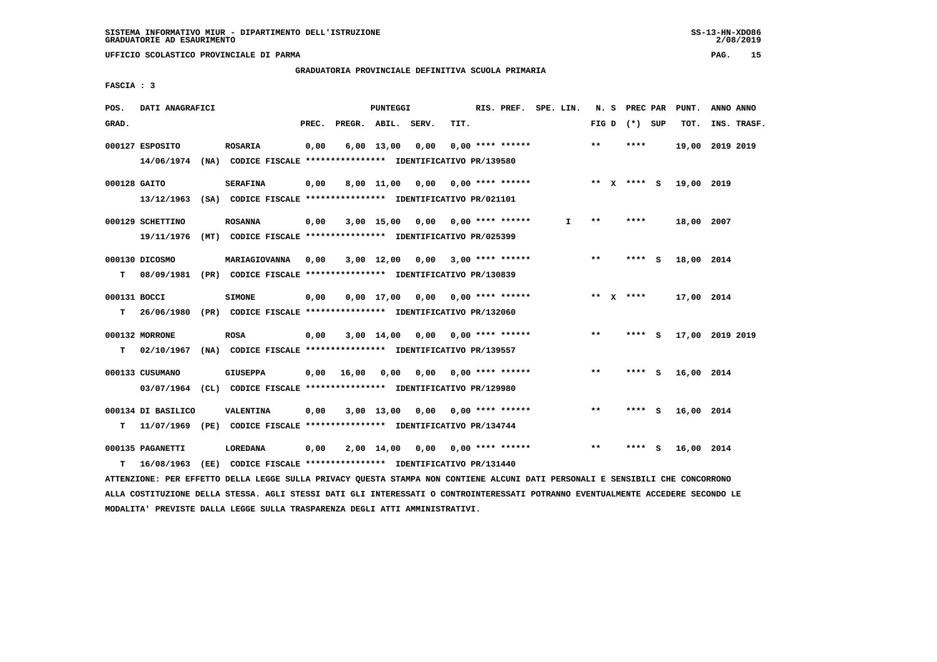#### **GRADUATORIA PROVINCIALE DEFINITIVA SCUOLA PRIMARIA**

 **FASCIA : 3**

| POS.         | DATI ANAGRAFICI    |                                                                                          |       |                    | PUNTEGGI     |                                    |      | RIS. PREF. SPE. LIN.      |    |              | N. S PREC PAR   |     | PUNT.           | ANNO ANNO |             |
|--------------|--------------------|------------------------------------------------------------------------------------------|-------|--------------------|--------------|------------------------------------|------|---------------------------|----|--------------|-----------------|-----|-----------------|-----------|-------------|
| GRAD.        |                    |                                                                                          | PREC. | PREGR. ABIL. SERV. |              |                                    | TIT. |                           |    |              | FIG D $(*)$ SUP |     | TOT.            |           | INS. TRASF. |
|              | 000127 ESPOSITO    | <b>ROSARIA</b>                                                                           | 0,00  |                    | $6,00$ 13,00 | 0,00                               |      | $0.00$ **** ******        |    | $**$         | ****            |     | 19,00 2019 2019 |           |             |
|              | 14/06/1974         | (NA) CODICE FISCALE **************** IDENTIFICATIVO PR/139580                            |       |                    |              |                                    |      |                           |    |              |                 |     |                 |           |             |
| 000128 GAITO |                    | <b>SERAFINA</b>                                                                          | 0,00  |                    |              | 8,00 11,00 0,00 0,00 **** ******   |      |                           |    |              | ** X **** S     |     | 19,00 2019      |           |             |
|              | 13/12/1963         | (SA) CODICE FISCALE **************** IDENTIFICATIVO PR/021101                            |       |                    |              |                                    |      |                           |    |              |                 |     |                 |           |             |
|              | 000129 SCHETTINO   | <b>ROSANNA</b>                                                                           | 0,00  |                    |              | $3,00$ 15,00 0,00 0,00 **** ****** |      |                           | I. | $***$        | ****            |     | 18,00 2007      |           |             |
|              | 19/11/1976         | (MT) CODICE FISCALE **************** IDENTIFICATIVO PR/025399                            |       |                    |              |                                    |      |                           |    |              |                 |     |                 |           |             |
|              | 000130 DICOSMO     | MARIAGIOVANNA                                                                            | 0,00  |                    | $3,00$ 12,00 |                                    |      | $0,00$ 3,00 **** ******   |    | $***$        | ****            | - 5 | 18,00 2014      |           |             |
| т            |                    | 08/09/1981 (PR) CODICE FISCALE **************** IDENTIFICATIVO PR/130839                 |       |                    |              |                                    |      |                           |    |              |                 |     |                 |           |             |
| 000131 BOCCI |                    |                                                                                          | 0,00  |                    |              | $0,00$ 17,00 0,00 0,00 **** ****** |      |                           |    |              | ** $X$ ****     |     | 17,00 2014      |           |             |
| т            |                    | <b>SIMONE</b><br>26/06/1980 (PR) CODICE FISCALE *************** IDENTIFICATIVO PR/132060 |       |                    |              |                                    |      |                           |    |              |                 |     |                 |           |             |
|              |                    |                                                                                          |       |                    |              |                                    |      |                           |    |              |                 |     |                 |           |             |
|              | 000132 MORRONE     | <b>ROSA</b>                                                                              | 0,00  |                    |              | $3,00$ 14,00 0,00 0,00 **** ****** |      |                           |    | $\star\star$ | **** S          |     | 17,00 2019 2019 |           |             |
| т            | 02/10/1967         | (NA) CODICE FISCALE **************** IDENTIFICATIVO PR/139557                            |       |                    |              |                                    |      |                           |    |              |                 |     |                 |           |             |
|              | 000133 CUSUMANO    | <b>GIUSEPPA</b>                                                                          | 0,00  | 16,00              | 0,00         |                                    |      | $0,00$ 0,00 **** ******   |    | **           | **** S          |     | 16,00 2014      |           |             |
|              |                    | 03/07/1964 (CL) CODICE FISCALE *************** IDENTIFICATIVO PR/129980                  |       |                    |              |                                    |      |                           |    |              |                 |     |                 |           |             |
|              | 000134 DI BASILICO | VALENTINA                                                                                | 0,00  |                    | $3,00$ 13,00 |                                    |      | $0.00$ $0.00$ **** ****** |    | **           | **** S          |     | 16,00 2014      |           |             |
| т            | 11/07/1969         | (PE) CODICE FISCALE **************** IDENTIFICATIVO PR/134744                            |       |                    |              |                                    |      |                           |    |              |                 |     |                 |           |             |
|              | 000135 PAGANETTI   | LOREDANA                                                                                 | 0,00  |                    | 2,00 14,00   | 0,00                               |      | 0,00 **** ******          |    | $* *$        | ****            | - S | 16,00 2014      |           |             |
| т            | 16/08/1963         | (EE) CODICE FISCALE **************** IDENTIFICATIVO PR/131440                            |       |                    |              |                                    |      |                           |    |              |                 |     |                 |           |             |
|              |                    |                                                                                          |       |                    |              |                                    |      |                           |    |              |                 |     |                 |           |             |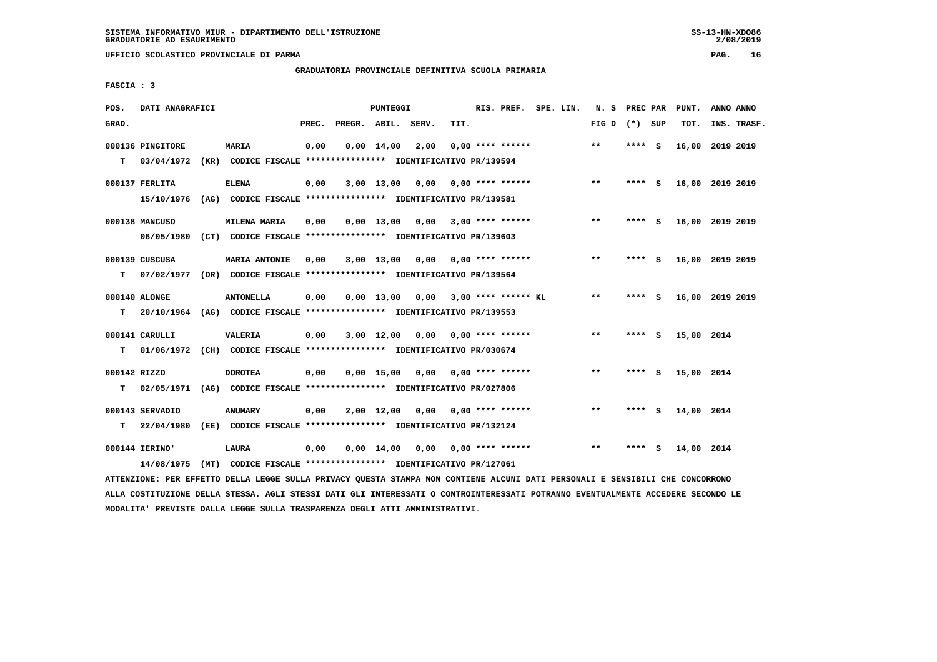# **GRADUATORIA PROVINCIALE DEFINITIVA SCUOLA PRIMARIA**

 **FASCIA : 3**

| POS.              | DATI ANAGRAFICI                |      |                                                                                       |       |                    | PUNTEGGI           |                 |      | RIS. PREF. SPE. LIN.       |  | N.S   | PREC PAR |     | PUNT.           | ANNO ANNO       |  |
|-------------------|--------------------------------|------|---------------------------------------------------------------------------------------|-------|--------------------|--------------------|-----------------|------|----------------------------|--|-------|----------|-----|-----------------|-----------------|--|
| GRAD.             |                                |      |                                                                                       | PREC. | PREGR. ABIL. SERV. |                    |                 | TIT. |                            |  | FIG D | (*) SUP  |     | TOT.            | INS. TRASF.     |  |
| T.                | 000136 PINGITORE<br>03/04/1972 |      | <b>MARIA</b><br>(KR) CODICE FISCALE **************** IDENTIFICATIVO PR/139594         | 0,00  |                    | $0,00 \quad 14,00$ | 2,00            |      | $0.00$ **** ******         |  | $* *$ | **** S   |     | 16,00           | 2019 2019       |  |
|                   | 000137 FERLITA                 |      | <b>ELENA</b>                                                                          | 0,00  |                    |                    | 3,00 13,00 0,00 |      | 0,00 **** ******           |  | $***$ | ****     | - 5 | 16,00 2019 2019 |                 |  |
|                   | 15/10/1976<br>000138 MANCUSO   |      | (AG) CODICE FISCALE **************** IDENTIFICATIVO PR/139581<br>MILENA MARIA         | 0.00  |                    | $0.00$ 13.00       | 0.00            |      | 3,00 **** ******           |  | $***$ | **** S   |     | 16,00 2019 2019 |                 |  |
|                   | 06/05/1980<br>000139 CUSCUSA   |      | (CT) CODICE FISCALE **************** IDENTIFICATIVO PR/139603<br><b>MARIA ANTONIE</b> | 0,00  |                    | $3,00$ 13,00       |                 |      | $0.00$ $0.00$ **** ******  |  | $* *$ | ****     | - S |                 | 16,00 2019 2019 |  |
| т                 | 07/02/1977                     |      | (OR) CODICE FISCALE **************** IDENTIFICATIVO PR/139564                         |       |                    |                    |                 |      |                            |  |       |          |     |                 |                 |  |
| т                 | 000140 ALONGE<br>20/10/1964    |      | <b>ANTONELLA</b><br>(AG) CODICE FISCALE **************** IDENTIFICATIVO PR/139553     | 0,00  |                    | $0.00$ 13.00       |                 |      | $0.00$ 3.00 **** ****** KL |  | **    | **** S   |     | 16,00 2019 2019 |                 |  |
|                   | 000141 CARULLI                 |      | VALERIA                                                                               | 0,00  |                    | $3,00$ 12,00       | 0,00            |      | 0,00 **** ******           |  | $***$ | ****     | - S | 15,00 2014      |                 |  |
| T.                |                                |      | 01/06/1972 (CH) CODICE FISCALE *************** IDENTIFICATIVO PR/030674               |       |                    |                    |                 |      |                            |  |       |          |     |                 |                 |  |
| 000142 RIZZO<br>т | 02/05/1971                     |      | <b>DOROTEA</b><br>(AG) CODICE FISCALE **************** IDENTIFICATIVO PR/027806       | 0,00  |                    | $0,00$ 15,00       | 0,00            |      | $0.00$ **** ******         |  | $***$ | ****     | - 5 | 15,00 2014      |                 |  |
|                   | 000143 SERVADIO                |      | <b>ANUMARY</b>                                                                        | 0,00  |                    | 2,00 12,00         | 0.00            |      | $0.00$ **** ******         |  | $**$  | **** S   |     | 14,00 2014      |                 |  |
| т                 | 22/04/1980                     |      | (EE) CODICE FISCALE **************** IDENTIFICATIVO PR/132124                         |       |                    |                    |                 |      |                            |  |       |          |     |                 |                 |  |
|                   | 000144 IERINO'                 |      | <b>LAURA</b>                                                                          | 0,00  |                    | $0,00 \quad 14,00$ | 0,00            |      | 0,00 **** ******           |  | $* *$ | ****     | -S  | 14,00 2014      |                 |  |
|                   | 14/08/1975                     | (MT) | CODICE FISCALE **************** IDENTIFICATIVO PR/127061                              |       |                    |                    |                 |      |                            |  |       |          |     |                 |                 |  |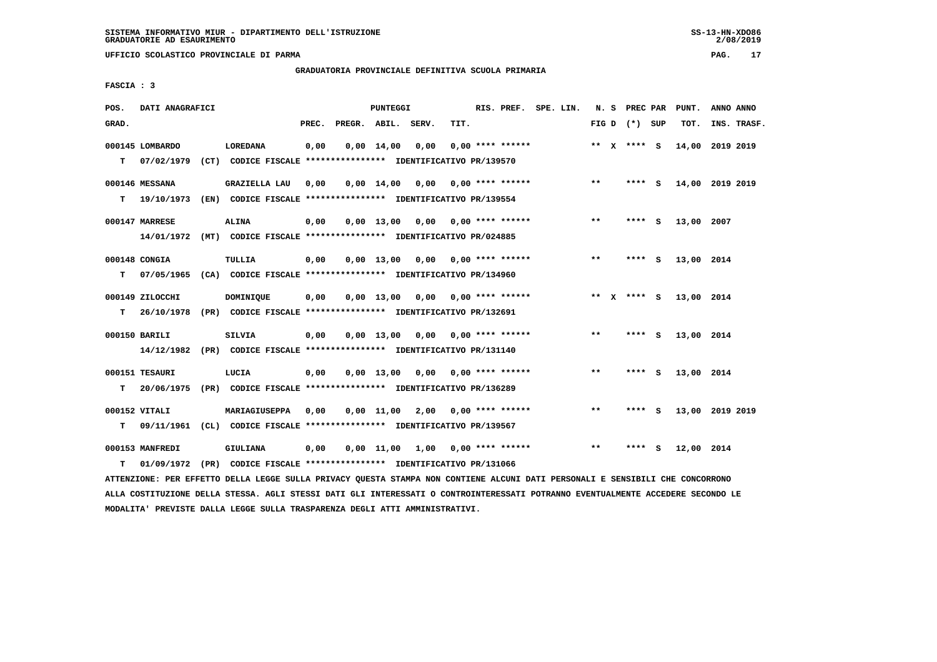# **GRADUATORIA PROVINCIALE DEFINITIVA SCUOLA PRIMARIA**

 **FASCIA : 3**

| POS.  | DATI ANAGRAFICI |                                                                         |       |                    | PUNTEGGI           |                                    |      | RIS. PREF. SPE. LIN.      |  |       | N. S PREC PAR   |     | PUNT.      | ANNO ANNO       |  |
|-------|-----------------|-------------------------------------------------------------------------|-------|--------------------|--------------------|------------------------------------|------|---------------------------|--|-------|-----------------|-----|------------|-----------------|--|
| GRAD. |                 |                                                                         | PREC. | PREGR. ABIL. SERV. |                    |                                    | TIT. |                           |  |       | FIG D $(*)$ SUP |     | TOT.       | INS. TRASF.     |  |
|       | 000145 LOMBARDO | <b>LOREDANA</b>                                                         | 0,00  |                    | $0.00 \quad 14.00$ | 0,00                               |      | $0.00$ **** ******        |  |       | ** X **** S     |     |            | 14,00 2019 2019 |  |
| т     | 07/02/1979      | (CT) CODICE FISCALE **************** IDENTIFICATIVO PR/139570           |       |                    |                    |                                    |      |                           |  |       |                 |     |            |                 |  |
|       | 000146 MESSANA  | <b>GRAZIELLA LAU</b>                                                    | 0,00  |                    |                    | $0,00$ 14,00 0,00 0,00 **** ****** |      |                           |  | $* *$ | $***$ S         |     |            | 14,00 2019 2019 |  |
| T.    | 19/10/1973      | (EN) CODICE FISCALE **************** IDENTIFICATIVO PR/139554           |       |                    |                    |                                    |      |                           |  |       |                 |     |            |                 |  |
|       | 000147 MARRESE  | ALINA                                                                   | 0,00  |                    |                    | $0.00$ 13.00 0.00 0.00 **** ****** |      |                           |  | **    | **** S          |     | 13,00 2007 |                 |  |
|       |                 | 14/01/1972 (MT) CODICE FISCALE *************** IDENTIFICATIVO PR/024885 |       |                    |                    |                                    |      |                           |  |       |                 |     |            |                 |  |
|       | 000148 CONGIA   | TULLIA                                                                  | 0,00  |                    | $0.00$ 13.00       |                                    |      | $0,00$ $0,00$ **** ****** |  | $**$  | **** S          |     | 13,00 2014 |                 |  |
| т     | 07/05/1965      | (CA) CODICE FISCALE **************** IDENTIFICATIVO PR/134960           |       |                    |                    |                                    |      |                           |  |       |                 |     |            |                 |  |
|       | 000149 ZILOCCHI | DOMINIQUE                                                               | 0,00  |                    |                    | $0,00$ 13,00 0,00 0,00 **** ****** |      |                           |  |       | ** X **** S     |     | 13,00 2014 |                 |  |
| т     | 26/10/1978      | (PR) CODICE FISCALE **************** IDENTIFICATIVO PR/132691           |       |                    |                    |                                    |      |                           |  |       |                 |     |            |                 |  |
|       | 000150 BARILI   | <b>SILVIA</b>                                                           | 0,00  |                    |                    | $0,00$ 13,00 0,00 0,00 **** ****** |      |                           |  | $***$ | **** S          |     | 13,00 2014 |                 |  |
|       |                 | 14/12/1982 (PR) CODICE FISCALE *************** IDENTIFICATIVO PR/131140 |       |                    |                    |                                    |      |                           |  |       |                 |     |            |                 |  |
|       | 000151 TESAURI  | LUCIA                                                                   | 0,00  |                    |                    | $0,00$ 13,00 0,00 0,00 **** ****** |      |                           |  | $***$ | **** S          |     | 13,00 2014 |                 |  |
| т     | 20/06/1975      | (PR) CODICE FISCALE *************** IDENTIFICATIVO PR/136289            |       |                    |                    |                                    |      |                           |  |       |                 |     |            |                 |  |
|       | 000152 VITALI   | MARIAGIUSEPPA                                                           | 0,00  |                    | 0,00 11,00         |                                    |      | $2,00$ 0,00 **** ******   |  | $* *$ | ****            | - S |            | 13,00 2019 2019 |  |
| т     | 09/11/1961      | (CL) CODICE FISCALE **************** IDENTIFICATIVO PR/139567           |       |                    |                    |                                    |      |                           |  |       |                 |     |            |                 |  |
|       | 000153 MANFREDI | GIULIANA                                                                | 0,00  |                    |                    | $0,00$ 11,00 1,00 0,00 **** ****** |      |                           |  | $* *$ | ****            | s   | 12,00 2014 |                 |  |
| т     |                 | 01/09/1972 (PR) CODICE FISCALE *************** IDENTIFICATIVO PR/131066 |       |                    |                    |                                    |      |                           |  |       |                 |     |            |                 |  |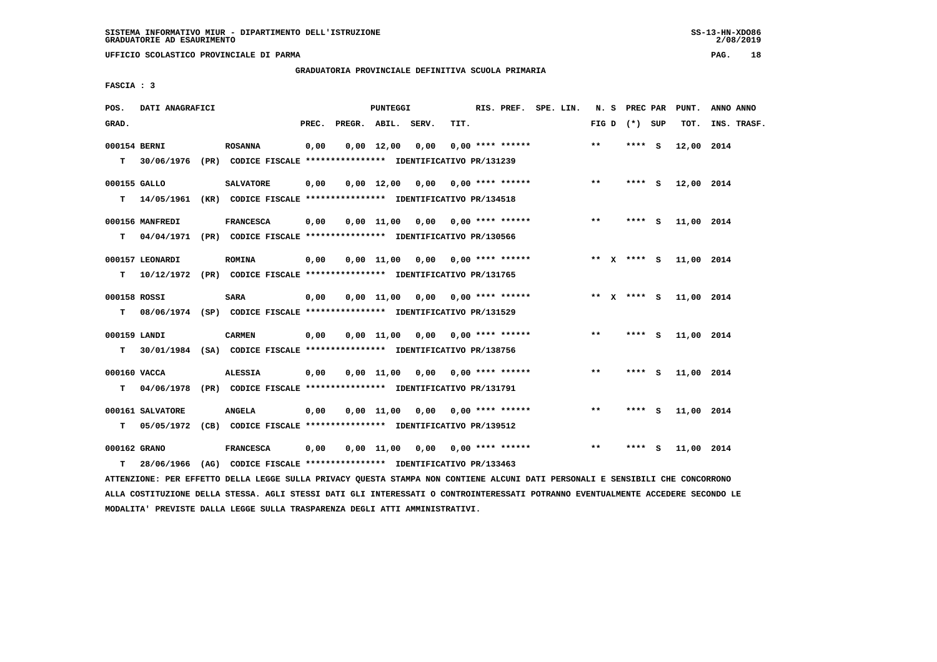**UFFICIO SCOLASTICO PROVINCIALE DI PARMA PAG. 18**

 **GRADUATORIA PROVINCIALE DEFINITIVA SCUOLA PRIMARIA**

 **FASCIA : 3**

| POS.         | DATI ANAGRAFICI                                                           |                  |       |                    | PUNTEGGI   |                                    |      | RIS. PREF. SPE. LIN. |  |       | N. S PREC PAR   | PUNT.      | ANNO ANNO   |
|--------------|---------------------------------------------------------------------------|------------------|-------|--------------------|------------|------------------------------------|------|----------------------|--|-------|-----------------|------------|-------------|
| GRAD.        |                                                                           |                  | PREC. | PREGR. ABIL. SERV. |            |                                    | TIT. |                      |  |       | FIG D $(*)$ SUP | TOT.       | INS. TRASF. |
| 000154 BERNI |                                                                           | <b>ROSANNA</b>   | 0,00  |                    | 0,00 12,00 | 0,00                               |      | $0.00$ **** ******   |  | **    | **** S          | 12,00 2014 |             |
|              | T 30/06/1976 (PR) CODICE FISCALE *************** IDENTIFICATIVO PR/131239 |                  |       |                    |            |                                    |      |                      |  |       |                 |            |             |
| 000155 GALLO |                                                                           | <b>SALVATORE</b> | 0,00  |                    |            | $0.00$ 12.00 0.00 0.00 **** ****** |      |                      |  | $***$ | $***$ $S$       | 12,00 2014 |             |
|              | T 14/05/1961 (KR) CODICE FISCALE *************** IDENTIFICATIVO PR/134518 |                  |       |                    |            |                                    |      |                      |  |       |                 |            |             |
|              | 000156 MANFREDI                                                           | <b>FRANCESCA</b> | 0,00  |                    |            | $0,00$ 11,00 0,00 0,00 **** ****** |      |                      |  | $***$ | $***$ S         | 11,00 2014 |             |
|              | T 04/04/1971 (PR) CODICE FISCALE *************** IDENTIFICATIVO PR/130566 |                  |       |                    |            |                                    |      |                      |  |       |                 |            |             |
|              | 000157 LEONARDI                                                           | <b>ROMINA</b>    | 0,00  |                    |            | 0,00 11,00 0,00 0,00 **** ******   |      |                      |  |       | ** x **** S     | 11,00 2014 |             |
| T.           | 10/12/1972 (PR) CODICE FISCALE *************** IDENTIFICATIVO PR/131765   |                  |       |                    |            |                                    |      |                      |  |       |                 |            |             |
| 000158 ROSSI |                                                                           | SARA             | 0,00  |                    |            | $0.00$ 11,00 0.00 0.00 **** ****** |      |                      |  |       | ** $X$ **** $S$ | 11,00 2014 |             |
|              | T 08/06/1974 (SP) CODICE FISCALE *************** IDENTIFICATIVO PR/131529 |                  |       |                    |            |                                    |      |                      |  |       |                 |            |             |
| 000159 LANDI |                                                                           | <b>CARMEN</b>    | 0,00  |                    |            | $0,00$ 11,00 0,00 0,00 **** ****** |      |                      |  | $***$ | $***$ S         | 11,00 2014 |             |
| T.           | 30/01/1984 (SA) CODICE FISCALE *************** IDENTIFICATIVO PR/138756   |                  |       |                    |            |                                    |      |                      |  |       |                 |            |             |
| 000160 VACCA |                                                                           | <b>ALESSIA</b>   | 0,00  |                    |            | $0,00$ 11,00 0,00 0,00 **** ****** |      |                      |  | $***$ | **** S          | 11,00 2014 |             |
|              | T 04/06/1978 (PR) CODICE FISCALE *************** IDENTIFICATIVO PR/131791 |                  |       |                    |            |                                    |      |                      |  |       |                 |            |             |
|              | 000161 SALVATORE                                                          | <b>ANGELA</b>    | 0,00  |                    |            | $0.00$ 11,00 0.00 0.00 **** ****** |      |                      |  | $***$ | **** S          | 11,00 2014 |             |
| т            | 05/05/1972 (CB) CODICE FISCALE **************** IDENTIFICATIVO PR/139512  |                  |       |                    |            |                                    |      |                      |  |       |                 |            |             |
| 000162 GRANO |                                                                           | <b>FRANCESCA</b> | 0,00  |                    |            | $0,00$ 11,00 0,00 0,00 **** ****** |      |                      |  | $***$ | **** S          | 11,00 2014 |             |
| T.           | 28/06/1966 (AG) CODICE FISCALE **************** IDENTIFICATIVO PR/133463  |                  |       |                    |            |                                    |      |                      |  |       |                 |            |             |
|              |                                                                           |                  |       |                    |            |                                    |      |                      |  |       |                 |            |             |